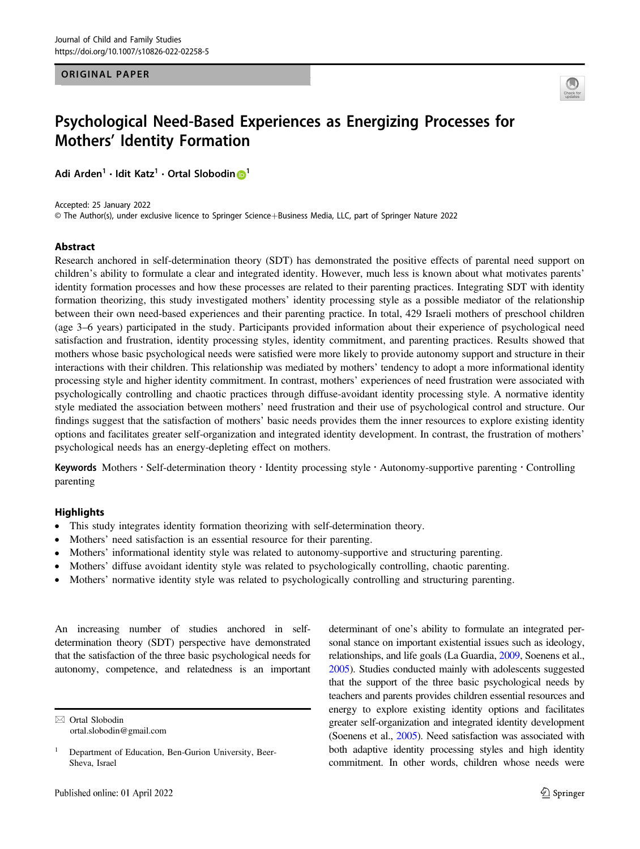#### ORIGINAL PAPER



# Psychological Need-Based Experiences as Energizing Processes for Mothers' Identity Formation

Adi Arde[n](http://orcid.org/0000-0002-1371-5254)<sup>[1](http://orcid.org/0000-0002-1371-5254)</sup> • Idit Katz<sup>1</sup> • Ortal Slobodin D<sup>1</sup>

Accepted: 25 January 2022 © The Author(s), under exclusive licence to Springer Science+Business Media, LLC, part of Springer Nature 2022

#### Abstract

Research anchored in self-determination theory (SDT) has demonstrated the positive effects of parental need support on children's ability to formulate a clear and integrated identity. However, much less is known about what motivates parents' identity formation processes and how these processes are related to their parenting practices. Integrating SDT with identity formation theorizing, this study investigated mothers' identity processing style as a possible mediator of the relationship between their own need-based experiences and their parenting practice. In total, 429 Israeli mothers of preschool children (age 3–6 years) participated in the study. Participants provided information about their experience of psychological need satisfaction and frustration, identity processing styles, identity commitment, and parenting practices. Results showed that mothers whose basic psychological needs were satisfied were more likely to provide autonomy support and structure in their interactions with their children. This relationship was mediated by mothers' tendency to adopt a more informational identity processing style and higher identity commitment. In contrast, mothers' experiences of need frustration were associated with psychologically controlling and chaotic practices through diffuse-avoidant identity processing style. A normative identity style mediated the association between mothers' need frustration and their use of psychological control and structure. Our findings suggest that the satisfaction of mothers' basic needs provides them the inner resources to explore existing identity options and facilitates greater self-organization and integrated identity development. In contrast, the frustration of mothers' psychological needs has an energy-depleting effect on mothers.

Keywords Mothers · Self-determination theory · Identity processing style · Autonomy-supportive parenting · Controlling parenting

#### **Highlights**

- This study integrates identity formation theorizing with self-determination theory.
- Mothers' need satisfaction is an essential resource for their parenting.
- Mothers' informational identity style was related to autonomy-supportive and structuring parenting.
- Mothers' diffuse avoidant identity style was related to psychologically controlling, chaotic parenting.
- Mothers' normative identity style was related to psychologically controlling and structuring parenting.

An increasing number of studies anchored in selfdetermination theory (SDT) perspective have demonstrated that the satisfaction of the three basic psychological needs for autonomy, competence, and relatedness is an important

 $\boxtimes$  Ortal Slobodin [ortal.slobodin@gmail.com](mailto:ortal.slobodin@gmail.com) determinant of one's ability to formulate an integrated personal stance on important existential issues such as ideology, relationships, and life goals (La Guardia, [2009](#page-12-0), Soenens et al., [2005\)](#page-13-0). Studies conducted mainly with adolescents suggested that the support of the three basic psychological needs by teachers and parents provides children essential resources and energy to explore existing identity options and facilitates greater self-organization and integrated identity development (Soenens et al., [2005](#page-13-0)). Need satisfaction was associated with both adaptive identity processing styles and high identity commitment. In other words, children whose needs were

<sup>&</sup>lt;sup>1</sup> Department of Education, Ben-Gurion University, Beer-Sheva, Israel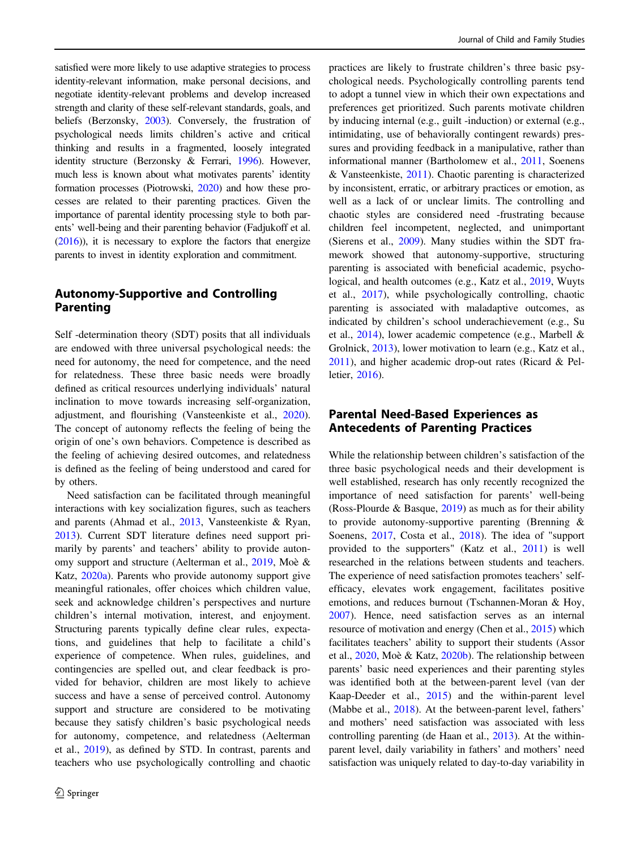satisfied were more likely to use adaptive strategies to process identity-relevant information, make personal decisions, and negotiate identity-relevant problems and develop increased strength and clarity of these self-relevant standards, goals, and beliefs (Berzonsky, [2003](#page-11-0)). Conversely, the frustration of psychological needs limits children's active and critical thinking and results in a fragmented, loosely integrated identity structure (Berzonsky & Ferrari, [1996](#page-11-0)). However, much less is known about what motivates parents' identity formation processes (Piotrowski, [2020\)](#page-13-0) and how these processes are related to their parenting practices. Given the importance of parental identity processing style to both parents' well-being and their parenting behavior (Fadjukoff et al. [\(2016](#page-12-0))), it is necessary to explore the factors that energize parents to invest in identity exploration and commitment.

## Autonomy-Supportive and Controlling Parenting

Self -determination theory (SDT) posits that all individuals are endowed with three universal psychological needs: the need for autonomy, the need for competence, and the need for relatedness. These three basic needs were broadly defined as critical resources underlying individuals' natural inclination to move towards increasing self-organization, adjustment, and flourishing (Vansteenkiste et al., [2020](#page-14-0)). The concept of autonomy reflects the feeling of being the origin of one's own behaviors. Competence is described as the feeling of achieving desired outcomes, and relatedness is defined as the feeling of being understood and cared for by others.

Need satisfaction can be facilitated through meaningful interactions with key socialization figures, such as teachers and parents (Ahmad et al., [2013](#page-10-0), Vansteenkiste & Ryan, [2013\)](#page-14-0). Current SDT literature defines need support primarily by parents' and teachers' ability to provide autonomy support and structure (Aelterman et al., [2019](#page-10-0), Moè & Katz, [2020a\)](#page-13-0). Parents who provide autonomy support give meaningful rationales, offer choices which children value, seek and acknowledge children's perspectives and nurture children's internal motivation, interest, and enjoyment. Structuring parents typically define clear rules, expectations, and guidelines that help to facilitate a child's experience of competence. When rules, guidelines, and contingencies are spelled out, and clear feedback is provided for behavior, children are most likely to achieve success and have a sense of perceived control. Autonomy support and structure are considered to be motivating because they satisfy children's basic psychological needs for autonomy, competence, and relatedness (Aelterman et al., [2019](#page-10-0)), as defined by STD. In contrast, parents and teachers who use psychologically controlling and chaotic practices are likely to frustrate children's three basic psychological needs. Psychologically controlling parents tend to adopt a tunnel view in which their own expectations and preferences get prioritized. Such parents motivate children by inducing internal (e.g., guilt -induction) or external (e.g., intimidating, use of behaviorally contingent rewards) pressures and providing feedback in a manipulative, rather than informational manner (Bartholomew et al., [2011,](#page-11-0) Soenens & Vansteenkiste, [2011](#page-13-0)). Chaotic parenting is characterized by inconsistent, erratic, or arbitrary practices or emotion, as well as a lack of or unclear limits. The controlling and chaotic styles are considered need -frustrating because children feel incompetent, neglected, and unimportant (Sierens et al., [2009\)](#page-13-0). Many studies within the SDT framework showed that autonomy-supportive, structuring parenting is associated with beneficial academic, psychological, and health outcomes (e.g., Katz et al., [2019,](#page-12-0) Wuyts et al., [2017\)](#page-14-0), while psychologically controlling, chaotic parenting is associated with maladaptive outcomes, as indicated by children's school underachievement (e.g., Su et al., [2014](#page-13-0)), lower academic competence (e.g., Marbell & Grolnick, [2013](#page-13-0)), lower motivation to learn (e.g., Katz et al., [2011](#page-12-0)), and higher academic drop-out rates (Ricard & Pelletier, [2016](#page-13-0)).

# Parental Need-Based Experiences as Antecedents of Parenting Practices

While the relationship between children's satisfaction of the three basic psychological needs and their development is well established, research has only recently recognized the importance of need satisfaction for parents' well-being (Ross-Plourde & Basque, [2019\)](#page-13-0) as much as for their ability to provide autonomy-supportive parenting (Brenning & Soenens, [2017](#page-13-0), Costa et al., [2018](#page-11-0)). The idea of "support provided to the supporters" (Katz et al., [2011](#page-12-0)) is well researched in the relations between students and teachers. The experience of need satisfaction promotes teachers' selfefficacy, elevates work engagement, facilitates positive emotions, and reduces burnout (Tschannen-Moran & Hoy, [2007](#page-14-0)). Hence, need satisfaction serves as an internal resource of motivation and energy (Chen et al., [2015](#page-11-0)) which facilitates teachers' ability to support their students (Assor et al., [2020,](#page-11-0) Moè & Katz, [2020b\)](#page-13-0). The relationship between parents' basic need experiences and their parenting styles was identified both at the between-parent level (van der Kaap-Deeder et al., [2015\)](#page-12-0) and the within-parent level (Mabbe et al., [2018\)](#page-13-0). At the between-parent level, fathers' and mothers' need satisfaction was associated with less controlling parenting (de Haan et al., [2013\)](#page-12-0). At the withinparent level, daily variability in fathers' and mothers' need satisfaction was uniquely related to day-to-day variability in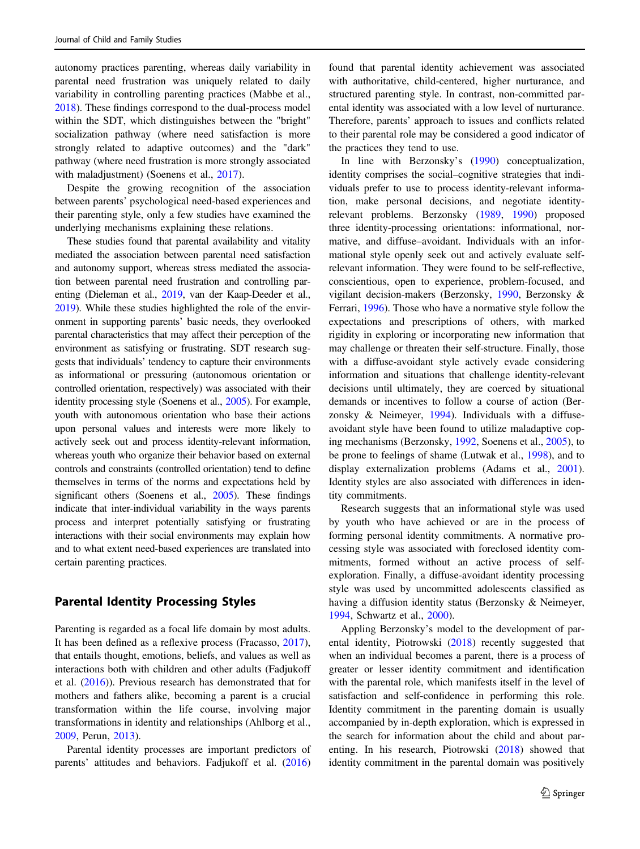autonomy practices parenting, whereas daily variability in parental need frustration was uniquely related to daily variability in controlling parenting practices (Mabbe et al., [2018\)](#page-13-0). These findings correspond to the dual-process model within the SDT, which distinguishes between the "bright" socialization pathway (where need satisfaction is more strongly related to adaptive outcomes) and the "dark" pathway (where need frustration is more strongly associated with maladjustment) (Soenens et al., [2017\)](#page-13-0).

Despite the growing recognition of the association between parents' psychological need-based experiences and their parenting style, only a few studies have examined the underlying mechanisms explaining these relations.

These studies found that parental availability and vitality mediated the association between parental need satisfaction and autonomy support, whereas stress mediated the association between parental need frustration and controlling parenting (Dieleman et al., [2019,](#page-11-0) van der Kaap-Deeder et al., [2019](#page-12-0)). While these studies highlighted the role of the environment in supporting parents' basic needs, they overlooked parental characteristics that may affect their perception of the environment as satisfying or frustrating. SDT research suggests that individuals' tendency to capture their environments as informational or pressuring (autonomous orientation or controlled orientation, respectively) was associated with their identity processing style (Soenens et al., [2005](#page-13-0)). For example, youth with autonomous orientation who base their actions upon personal values and interests were more likely to actively seek out and process identity-relevant information, whereas youth who organize their behavior based on external controls and constraints (controlled orientation) tend to define themselves in terms of the norms and expectations held by significant others (Soenens et al., [2005](#page-13-0)). These findings indicate that inter-individual variability in the ways parents process and interpret potentially satisfying or frustrating interactions with their social environments may explain how and to what extent need-based experiences are translated into certain parenting practices.

## Parental Identity Processing Styles

Parenting is regarded as a focal life domain by most adults. It has been defined as a reflexive process (Fracasso, [2017](#page-12-0)), that entails thought, emotions, beliefs, and values as well as interactions both with children and other adults (Fadjukoff et al. [\(2016](#page-12-0))). Previous research has demonstrated that for mothers and fathers alike, becoming a parent is a crucial transformation within the life course, involving major transformations in identity and relationships (Ahlborg et al., [2009,](#page-10-0) Perun, [2013\)](#page-13-0).

Parental identity processes are important predictors of parents' attitudes and behaviors. Fadjukoff et al. ([2016\)](#page-12-0)

found that parental identity achievement was associated with authoritative, child-centered, higher nurturance, and structured parenting style. In contrast, non-committed parental identity was associated with a low level of nurturance. Therefore, parents' approach to issues and conflicts related to their parental role may be considered a good indicator of the practices they tend to use.

In line with Berzonsky's [\(1990](#page-11-0)) conceptualization, identity comprises the social–cognitive strategies that individuals prefer to use to process identity-relevant information, make personal decisions, and negotiate identityrelevant problems. Berzonsky [\(1989](#page-11-0), [1990\)](#page-11-0) proposed three identity-processing orientations: informational, normative, and diffuse–avoidant. Individuals with an informational style openly seek out and actively evaluate selfrelevant information. They were found to be self-reflective, conscientious, open to experience, problem-focused, and vigilant decision-makers (Berzonsky, [1990,](#page-11-0) Berzonsky & Ferrari, [1996\)](#page-11-0). Those who have a normative style follow the expectations and prescriptions of others, with marked rigidity in exploring or incorporating new information that may challenge or threaten their self-structure. Finally, those with a diffuse-avoidant style actively evade considering information and situations that challenge identity-relevant decisions until ultimately, they are coerced by situational demands or incentives to follow a course of action (Berzonsky & Neimeyer, [1994\)](#page-11-0). Individuals with a diffuseavoidant style have been found to utilize maladaptive coping mechanisms (Berzonsky, [1992](#page-11-0), Soenens et al., [2005](#page-13-0)), to be prone to feelings of shame (Lutwak et al., [1998](#page-12-0)), and to display externalization problems (Adams et al., [2001\)](#page-10-0). Identity styles are also associated with differences in identity commitments.

Research suggests that an informational style was used by youth who have achieved or are in the process of forming personal identity commitments. A normative processing style was associated with foreclosed identity commitments, formed without an active process of selfexploration. Finally, a diffuse-avoidant identity processing style was used by uncommitted adolescents classified as having a diffusion identity status (Berzonsky & Neimeyer, [1994](#page-11-0), Schwartz et al., [2000\)](#page-13-0).

Appling Berzonsky's model to the development of parental identity, Piotrowski ([2018\)](#page-13-0) recently suggested that when an individual becomes a parent, there is a process of greater or lesser identity commitment and identification with the parental role, which manifests itself in the level of satisfaction and self-confidence in performing this role. Identity commitment in the parenting domain is usually accompanied by in-depth exploration, which is expressed in the search for information about the child and about parenting. In his research, Piotrowski [\(2018](#page-13-0)) showed that identity commitment in the parental domain was positively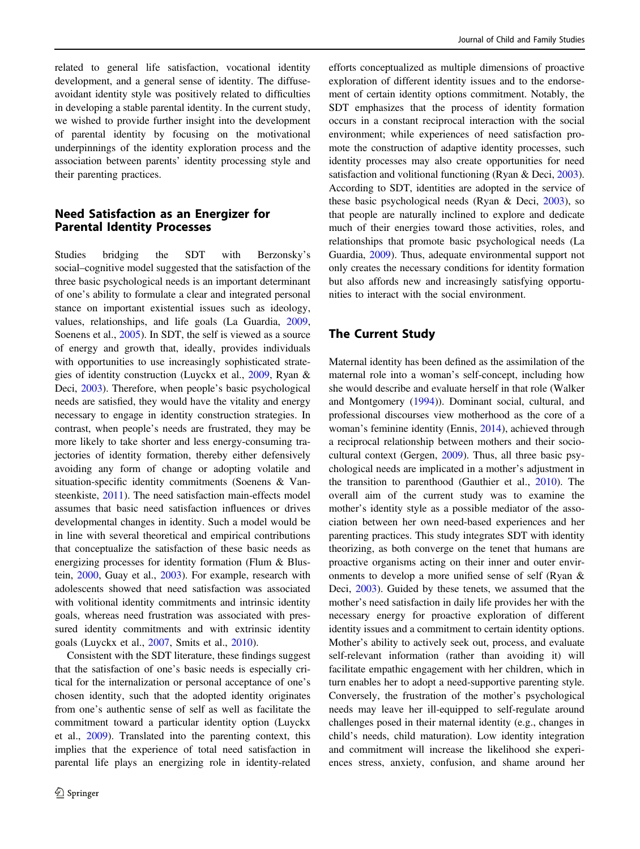related to general life satisfaction, vocational identity development, and a general sense of identity. The diffuseavoidant identity style was positively related to difficulties in developing a stable parental identity. In the current study, we wished to provide further insight into the development of parental identity by focusing on the motivational underpinnings of the identity exploration process and the association between parents' identity processing style and their parenting practices.

# Need Satisfaction as an Energizer for Parental Identity Processes

Studies bridging the SDT with Berzonsky's social–cognitive model suggested that the satisfaction of the three basic psychological needs is an important determinant of one's ability to formulate a clear and integrated personal stance on important existential issues such as ideology, values, relationships, and life goals (La Guardia, [2009,](#page-12-0) Soenens et al., [2005\)](#page-13-0). In SDT, the self is viewed as a source of energy and growth that, ideally, provides individuals with opportunities to use increasingly sophisticated strategies of identity construction (Luyckx et al., [2009](#page-13-0), Ryan & Deci, [2003](#page-13-0)). Therefore, when people's basic psychological needs are satisfied, they would have the vitality and energy necessary to engage in identity construction strategies. In contrast, when people's needs are frustrated, they may be more likely to take shorter and less energy-consuming trajectories of identity formation, thereby either defensively avoiding any form of change or adopting volatile and situation-specific identity commitments (Soenens & Vansteenkiste, [2011](#page-13-0)). The need satisfaction main-effects model assumes that basic need satisfaction influences or drives developmental changes in identity. Such a model would be in line with several theoretical and empirical contributions that conceptualize the satisfaction of these basic needs as energizing processes for identity formation (Flum & Blustein, [2000,](#page-12-0) Guay et al., [2003](#page-12-0)). For example, research with adolescents showed that need satisfaction was associated with volitional identity commitments and intrinsic identity goals, whereas need frustration was associated with pressured identity commitments and with extrinsic identity goals (Luyckx et al., [2007,](#page-12-0) Smits et al., [2010](#page-13-0)).

Consistent with the SDT literature, these findings suggest that the satisfaction of one's basic needs is especially critical for the internalization or personal acceptance of one's chosen identity, such that the adopted identity originates from one's authentic sense of self as well as facilitate the commitment toward a particular identity option (Luyckx et al., [2009](#page-13-0)). Translated into the parenting context, this implies that the experience of total need satisfaction in parental life plays an energizing role in identity-related

efforts conceptualized as multiple dimensions of proactive exploration of different identity issues and to the endorsement of certain identity options commitment. Notably, the SDT emphasizes that the process of identity formation occurs in a constant reciprocal interaction with the social environment; while experiences of need satisfaction promote the construction of adaptive identity processes, such identity processes may also create opportunities for need satisfaction and volitional functioning (Ryan & Deci, [2003\)](#page-13-0). According to SDT, identities are adopted in the service of these basic psychological needs (Ryan & Deci, [2003\)](#page-13-0), so that people are naturally inclined to explore and dedicate much of their energies toward those activities, roles, and relationships that promote basic psychological needs (La Guardia, [2009\)](#page-12-0). Thus, adequate environmental support not only creates the necessary conditions for identity formation but also affords new and increasingly satisfying opportunities to interact with the social environment.

## The Current Study

Maternal identity has been defined as the assimilation of the maternal role into a woman's self-concept, including how she would describe and evaluate herself in that role (Walker and Montgomery ([1994\)](#page-14-0)). Dominant social, cultural, and professional discourses view motherhood as the core of a woman's feminine identity (Ennis, [2014\)](#page-12-0), achieved through a reciprocal relationship between mothers and their sociocultural context (Gergen, [2009](#page-12-0)). Thus, all three basic psychological needs are implicated in a mother's adjustment in the transition to parenthood (Gauthier et al., [2010](#page-12-0)). The overall aim of the current study was to examine the mother's identity style as a possible mediator of the association between her own need-based experiences and her parenting practices. This study integrates SDT with identity theorizing, as both converge on the tenet that humans are proactive organisms acting on their inner and outer environments to develop a more unified sense of self (Ryan & Deci, [2003\)](#page-13-0). Guided by these tenets, we assumed that the mother's need satisfaction in daily life provides her with the necessary energy for proactive exploration of different identity issues and a commitment to certain identity options. Mother's ability to actively seek out, process, and evaluate self-relevant information (rather than avoiding it) will facilitate empathic engagement with her children, which in turn enables her to adopt a need-supportive parenting style. Conversely, the frustration of the mother's psychological needs may leave her ill-equipped to self-regulate around challenges posed in their maternal identity (e.g., changes in child's needs, child maturation). Low identity integration and commitment will increase the likelihood she experiences stress, anxiety, confusion, and shame around her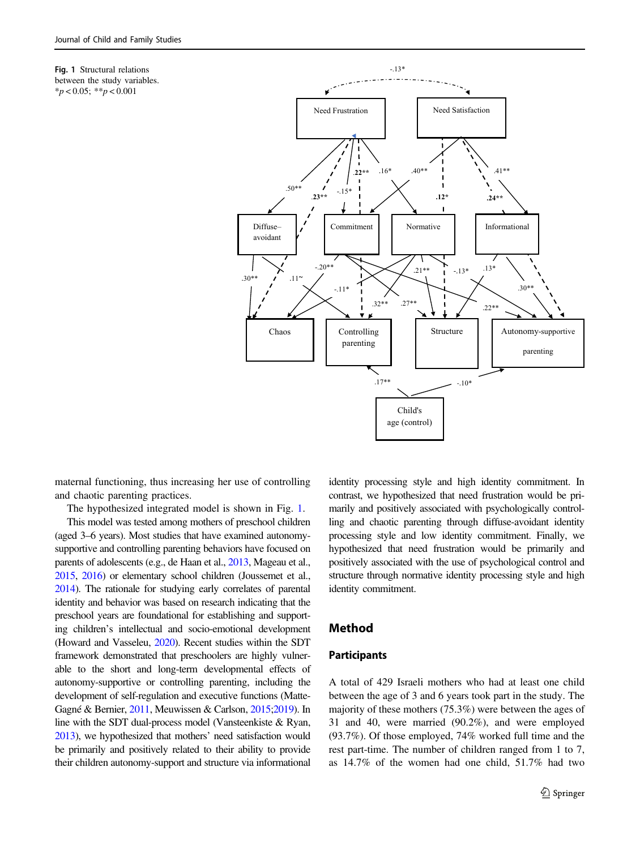<span id="page-4-0"></span>



maternal functioning, thus increasing her use of controlling and chaotic parenting practices.

The hypothesized integrated model is shown in Fig. 1.

This model was tested among mothers of preschool children (aged 3–6 years). Most studies that have examined autonomysupportive and controlling parenting behaviors have focused on parents of adolescents (e.g., de Haan et al., [2013](#page-12-0), Mageau et al., [2015](#page-13-0), [2016](#page-13-0)) or elementary school children (Joussemet et al., [2014](#page-12-0)). The rationale for studying early correlates of parental identity and behavior was based on research indicating that the preschool years are foundational for establishing and supporting children's intellectual and socio-emotional development (Howard and Vasseleu, [2020\)](#page-12-0). Recent studies within the SDT framework demonstrated that preschoolers are highly vulnerable to the short and long-term developmental effects of autonomy-supportive or controlling parenting, including the development of self-regulation and executive functions (Matte-Gagné & Bernier, [2011](#page-13-0), Meuwissen & Carlson, [2015](#page-13-0);[2019](#page-13-0)). In line with the SDT dual-process model (Vansteenkiste & Ryan, [2013](#page-14-0)), we hypothesized that mothers' need satisfaction would be primarily and positively related to their ability to provide their children autonomy-support and structure via informational identity processing style and high identity commitment. In contrast, we hypothesized that need frustration would be primarily and positively associated with psychologically controlling and chaotic parenting through diffuse-avoidant identity processing style and low identity commitment. Finally, we hypothesized that need frustration would be primarily and positively associated with the use of psychological control and structure through normative identity processing style and high identity commitment.

## Method

## Participants

A total of 429 Israeli mothers who had at least one child between the age of 3 and 6 years took part in the study. The majority of these mothers (75.3%) were between the ages of 31 and 40, were married (90.2%), and were employed (93.7%). Of those employed, 74% worked full time and the rest part-time. The number of children ranged from 1 to 7, as 14.7% of the women had one child, 51.7% had two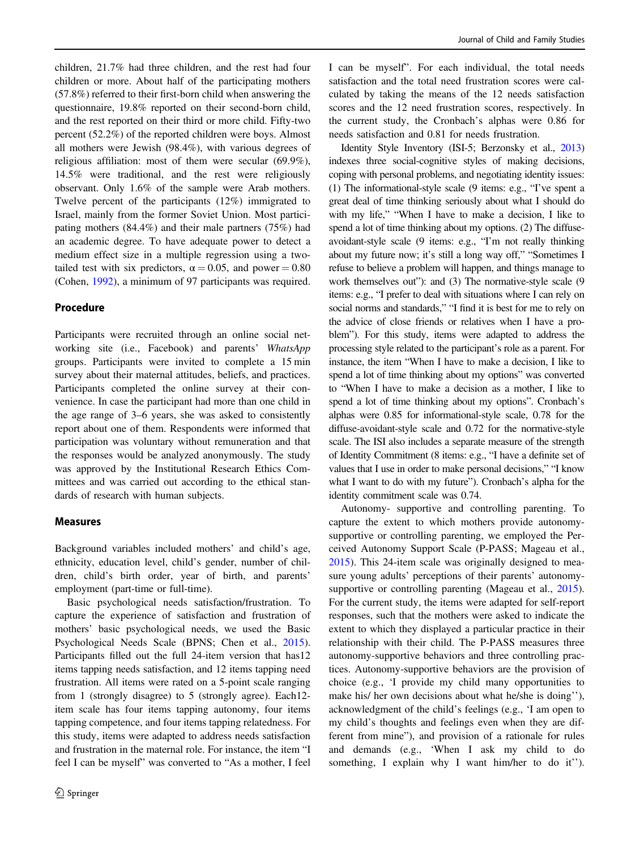children, 21.7% had three children, and the rest had four children or more. About half of the participating mothers (57.8%) referred to their first-born child when answering the questionnaire, 19.8% reported on their second-born child, and the rest reported on their third or more child. Fifty-two percent (52.2%) of the reported children were boys. Almost all mothers were Jewish (98.4%), with various degrees of religious affiliation: most of them were secular (69.9%), 14.5% were traditional, and the rest were religiously observant. Only 1.6% of the sample were Arab mothers. Twelve percent of the participants (12%) immigrated to Israel, mainly from the former Soviet Union. Most participating mothers (84.4%) and their male partners (75%) had an academic degree. To have adequate power to detect a medium effect size in a multiple regression using a twotailed test with six predictors,  $\alpha = 0.05$ , and power = 0.80 (Cohen, [1992\)](#page-11-0), a minimum of 97 participants was required.

#### Procedure

Participants were recruited through an online social networking site (i.e., Facebook) and parents' WhatsApp groups. Participants were invited to complete a 15 min survey about their maternal attitudes, beliefs, and practices. Participants completed the online survey at their convenience. In case the participant had more than one child in the age range of 3–6 years, she was asked to consistently report about one of them. Respondents were informed that participation was voluntary without remuneration and that the responses would be analyzed anonymously. The study was approved by the Institutional Research Ethics Committees and was carried out according to the ethical standards of research with human subjects.

## Measures

Background variables included mothers' and child's age, ethnicity, education level, child's gender, number of children, child's birth order, year of birth, and parents' employment (part-time or full-time).

Basic psychological needs satisfaction/frustration. To capture the experience of satisfaction and frustration of mothers' basic psychological needs, we used the Basic Psychological Needs Scale (BPNS; Chen et al., [2015](#page-11-0)). Participants filled out the full 24-item version that has12 items tapping needs satisfaction, and 12 items tapping need frustration. All items were rated on a 5-point scale ranging from 1 (strongly disagree) to 5 (strongly agree). Each12 item scale has four items tapping autonomy, four items tapping competence, and four items tapping relatedness. For this study, items were adapted to address needs satisfaction and frustration in the maternal role. For instance, the item "I feel I can be myself" was converted to "As a mother, I feel

I can be myself". For each individual, the total needs satisfaction and the total need frustration scores were calculated by taking the means of the 12 needs satisfaction scores and the 12 need frustration scores, respectively. In the current study, the Cronbach's alphas were 0.86 for needs satisfaction and 0.81 for needs frustration.

Identity Style Inventory (ISI-5; Berzonsky et al., [2013](#page-11-0)) indexes three social-cognitive styles of making decisions, coping with personal problems, and negotiating identity issues: (1) The informational-style scale (9 items: e.g., "I've spent a great deal of time thinking seriously about what I should do with my life," "When I have to make a decision, I like to spend a lot of time thinking about my options. (2) The diffuseavoidant-style scale (9 items: e.g., "I'm not really thinking about my future now; it's still a long way off," "Sometimes I refuse to believe a problem will happen, and things manage to work themselves out"): and (3) The normative-style scale (9 items: e.g., "I prefer to deal with situations where I can rely on social norms and standards," "I find it is best for me to rely on the advice of close friends or relatives when I have a problem"). For this study, items were adapted to address the processing style related to the participant's role as a parent. For instance, the item "When I have to make a decision, I like to spend a lot of time thinking about my options" was converted to "When I have to make a decision as a mother, I like to spend a lot of time thinking about my options". Cronbach's alphas were 0.85 for informational-style scale, 0.78 for the diffuse-avoidant-style scale and 0.72 for the normative-style scale. The ISI also includes a separate measure of the strength of Identity Commitment (8 items: e.g., "I have a definite set of values that I use in order to make personal decisions," "I know what I want to do with my future"). Cronbach's alpha for the identity commitment scale was 0.74.

Autonomy- supportive and controlling parenting. To capture the extent to which mothers provide autonomysupportive or controlling parenting, we employed the Perceived Autonomy Support Scale (P-PASS; Mageau et al., [2015](#page-13-0)). This 24-item scale was originally designed to measure young adults' perceptions of their parents' autonomysupportive or controlling parenting (Mageau et al., [2015\)](#page-13-0). For the current study, the items were adapted for self-report responses, such that the mothers were asked to indicate the extent to which they displayed a particular practice in their relationship with their child. The P-PASS measures three autonomy-supportive behaviors and three controlling practices. Autonomy-supportive behaviors are the provision of choice (e.g., 'I provide my child many opportunities to make his/ her own decisions about what he/she is doing''), acknowledgment of the child's feelings (e.g., 'I am open to my child's thoughts and feelings even when they are different from mine"), and provision of a rationale for rules and demands (e.g., 'When I ask my child to do something, I explain why I want him/her to do it").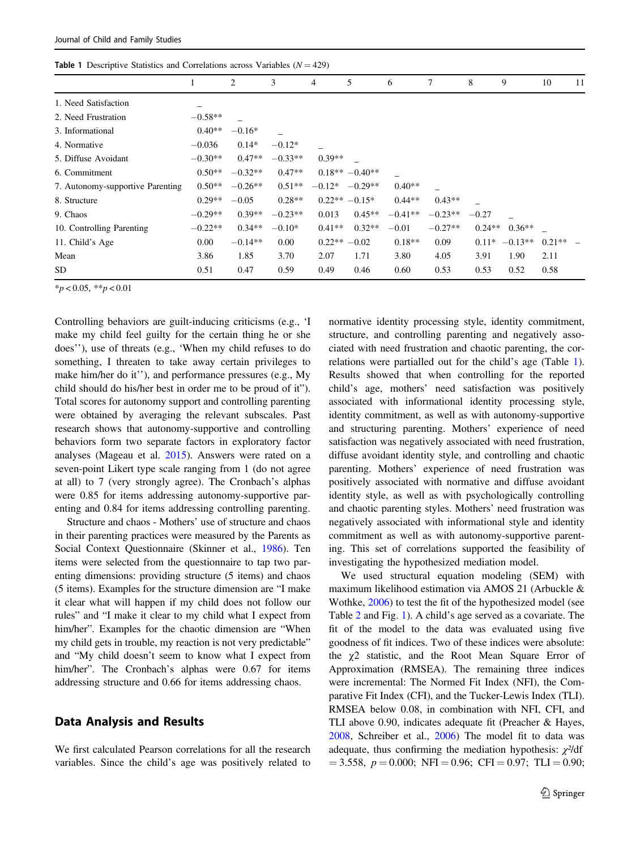| <b>Table 1</b> Descriptive statistics and Correlations across variables $(Y = 427)$ |           |           |           |          |                     |           |           |          |           |          |    |  |
|-------------------------------------------------------------------------------------|-----------|-----------|-----------|----------|---------------------|-----------|-----------|----------|-----------|----------|----|--|
|                                                                                     |           | 2         | 3         | 4        | 5                   | 6         | 7         | 8        | 9         | 10       | 11 |  |
| 1. Need Satisfaction                                                                |           |           |           |          |                     |           |           |          |           |          |    |  |
| 2. Need Frustration                                                                 | $-0.58**$ |           |           |          |                     |           |           |          |           |          |    |  |
| 3. Informational                                                                    | $0.40**$  | $-0.16*$  |           |          |                     |           |           |          |           |          |    |  |
| 4. Normative                                                                        | $-0.036$  | $0.14*$   | $-0.12*$  |          |                     |           |           |          |           |          |    |  |
| 5. Diffuse Avoidant                                                                 | $-0.30**$ | $0.47**$  | $-0.33**$ | $0.39**$ |                     |           |           |          |           |          |    |  |
| 6. Commitment                                                                       | $0.50**$  | $-0.32**$ | $0.47**$  |          | $0.18** -0.40**$    |           |           |          |           |          |    |  |
| 7. Autonomy-supportive Parenting                                                    | $0.50**$  | $-0.26**$ | $0.51**$  |          | $-0.12^*$ $-0.29**$ | $0.40**$  |           |          |           |          |    |  |
| 8. Structure                                                                        | $0.29**$  | $-0.05$   | $0.28**$  |          | $0.22** -0.15*$     | $0.44**$  | $0.43**$  |          |           |          |    |  |
| 9. Chaos                                                                            | $-0.29**$ | $0.39**$  | $-0.23**$ | 0.013    | $0.45**$            | $-0.41**$ | $-0.23**$ | $-0.27$  |           |          |    |  |
| 10. Controlling Parenting                                                           | $-0.22**$ | $0.34**$  | $-0.10*$  | $0.41**$ | $0.32**$            | $-0.01$   | $-0.27**$ | $0.24**$ | $0.36**$  |          |    |  |
| 11. Child's Age                                                                     | 0.00      | $-0.14**$ | 0.00      |          | $0.22** -0.02$      | $0.18**$  | 0.09      | $0.11*$  | $-0.13**$ | $0.21**$ |    |  |
| Mean                                                                                | 3.86      | 1.85      | 3.70      | 2.07     | 1.71                | 3.80      | 4.05      | 3.91     | 1.90      | 2.11     |    |  |
| <b>SD</b>                                                                           | 0.51      | 0.47      | 0.59      | 0.49     | 0.46                | 0.60      | 0.53      | 0.53     | 0.52      | 0.58     |    |  |

Table 1 Descriptive Statistics and Correlations across Variables (N = 429)

 $*_{p}$  < 0.05,  $*_{p}$  < 0.01

Controlling behaviors are guilt-inducing criticisms (e.g., 'I make my child feel guilty for the certain thing he or she does''), use of threats (e.g., 'When my child refuses to do something, I threaten to take away certain privileges to make him/her do it''), and performance pressures (e.g., My child should do his/her best in order me to be proud of it"). Total scores for autonomy support and controlling parenting were obtained by averaging the relevant subscales. Past research shows that autonomy-supportive and controlling behaviors form two separate factors in exploratory factor analyses (Mageau et al. [2015\)](#page-13-0). Answers were rated on a seven-point Likert type scale ranging from 1 (do not agree at all) to 7 (very strongly agree). The Cronbach's alphas were 0.85 for items addressing autonomy-supportive parenting and 0.84 for items addressing controlling parenting.

Structure and chaos - Mothers' use of structure and chaos in their parenting practices were measured by the Parents as Social Context Questionnaire (Skinner et al., [1986](#page-13-0)). Ten items were selected from the questionnaire to tap two parenting dimensions: providing structure (5 items) and chaos (5 items). Examples for the structure dimension are "I make it clear what will happen if my child does not follow our rules" and "I make it clear to my child what I expect from him/her". Examples for the chaotic dimension are "When my child gets in trouble, my reaction is not very predictable" and "My child doesn't seem to know what I expect from him/her". The Cronbach's alphas were 0.67 for items addressing structure and 0.66 for items addressing chaos.

## Data Analysis and Results

We first calculated Pearson correlations for all the research variables. Since the child's age was positively related to normative identity processing style, identity commitment, structure, and controlling parenting and negatively associated with need frustration and chaotic parenting, the correlations were partialled out for the child's age (Table 1). Results showed that when controlling for the reported child's age, mothers' need satisfaction was positively associated with informational identity processing style, identity commitment, as well as with autonomy-supportive and structuring parenting. Mothers' experience of need satisfaction was negatively associated with need frustration, diffuse avoidant identity style, and controlling and chaotic parenting. Mothers' experience of need frustration was positively associated with normative and diffuse avoidant identity style, as well as with psychologically controlling and chaotic parenting styles. Mothers' need frustration was negatively associated with informational style and identity commitment as well as with autonomy-supportive parenting. This set of correlations supported the feasibility of investigating the hypothesized mediation model.

We used structural equation modeling (SEM) with maximum likelihood estimation via AMOS 21 (Arbuckle & Wothke, [2006\)](#page-11-0) to test the fit of the hypothesized model (see Table [2](#page-7-0) and Fig. [1\)](#page-4-0). A child's age served as a covariate. The fit of the model to the data was evaluated using five goodness of fit indices. Two of these indices were absolute: the χ2 statistic, and the Root Mean Square Error of Approximation (RMSEA). The remaining three indices were incremental: The Normed Fit Index (NFI), the Comparative Fit Index (CFI), and the Tucker-Lewis Index (TLI). RMSEA below 0.08, in combination with NFI, CFI, and TLI above 0.90, indicates adequate fit (Preacher & Hayes, [2008](#page-13-0), Schreiber et al., [2006\)](#page-13-0) The model fit to data was adequate, thus confirming the mediation hypothesis:  $\chi^2/df$  $= 3.558, p = 0.000; NFI = 0.96; CFI = 0.97; TLI = 0.90;$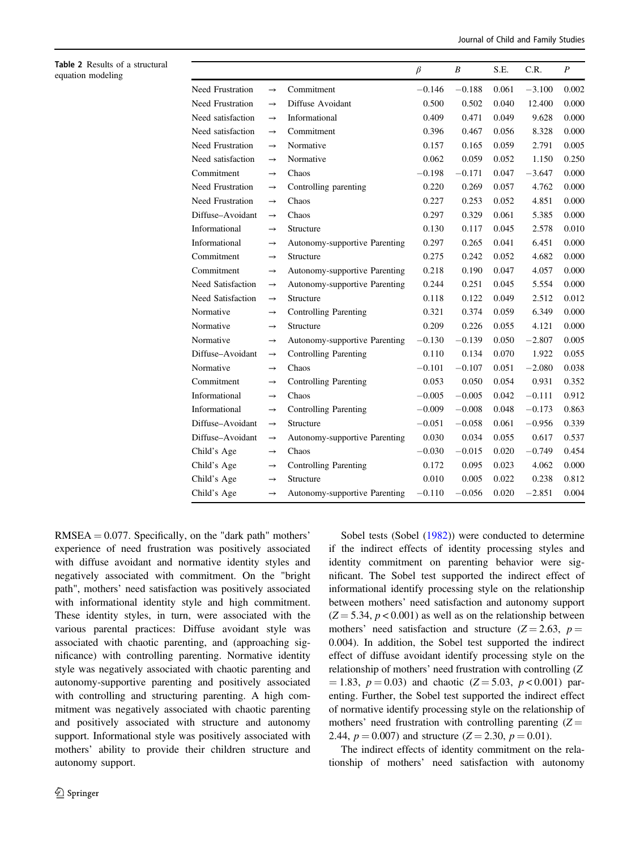Journal of Child and Family Studies

<span id="page-7-0"></span>

| Table 2 Results of a structural<br>equation modeling |                   |                   |                               | $\beta$  | $\boldsymbol{B}$ | S.E.  | C.R.     | $\boldsymbol{P}$ |
|------------------------------------------------------|-------------------|-------------------|-------------------------------|----------|------------------|-------|----------|------------------|
|                                                      | Need Frustration  | $\longrightarrow$ | Commitment                    | $-0.146$ | $-0.188$         | 0.061 | $-3.100$ | 0.002            |
|                                                      | Need Frustration  | $\longrightarrow$ | Diffuse Avoidant              | 0.500    | 0.502            | 0.040 | 12.400   | 0.000            |
|                                                      | Need satisfaction | $\rightarrow$     | Informational                 | 0.409    | 0.471            | 0.049 | 9.628    | 0.000            |
|                                                      | Need satisfaction | $\longrightarrow$ | Commitment                    | 0.396    | 0.467            | 0.056 | 8.328    | 0.000            |
|                                                      | Need Frustration  | $\rightarrow$     | Normative                     | 0.157    | 0.165            | 0.059 | 2.791    | 0.005            |
|                                                      | Need satisfaction | $\rightarrow$     | Normative                     | 0.062    | 0.059            | 0.052 | 1.150    | 0.250            |
|                                                      | Commitment        | $\rightarrow$     | Chaos                         | $-0.198$ | $-0.171$         | 0.047 | $-3.647$ | 0.000            |
|                                                      | Need Frustration  | $\longrightarrow$ | Controlling parenting         | 0.220    | 0.269            | 0.057 | 4.762    | 0.000            |
|                                                      | Need Frustration  | $\rightarrow$     | Chaos                         | 0.227    | 0.253            | 0.052 | 4.851    | 0.000            |
|                                                      | Diffuse-Avoidant  | $\rightarrow$     | Chaos                         | 0.297    | 0.329            | 0.061 | 5.385    | 0.000            |
|                                                      | Informational     | $\rightarrow$     | Structure                     | 0.130    | 0.117            | 0.045 | 2.578    | 0.010            |
|                                                      | Informational     | $\rightarrow$     | Autonomy-supportive Parenting | 0.297    | 0.265            | 0.041 | 6.451    | 0.000            |
|                                                      | Commitment        | $\rightarrow$     | Structure                     | 0.275    | 0.242            | 0.052 | 4.682    | 0.000            |
|                                                      | Commitment        | $\longrightarrow$ | Autonomy-supportive Parenting | 0.218    | 0.190            | 0.047 | 4.057    | 0.000            |
|                                                      | Need Satisfaction | $\rightarrow$     | Autonomy-supportive Parenting | 0.244    | 0.251            | 0.045 | 5.554    | 0.000            |
|                                                      | Need Satisfaction | $\longrightarrow$ | Structure                     | 0.118    | 0.122            | 0.049 | 2.512    | 0.012            |
|                                                      | Normative         | $\rightarrow$     | <b>Controlling Parenting</b>  | 0.321    | 0.374            | 0.059 | 6.349    | 0.000            |
|                                                      | Normative         | $\rightarrow$     | Structure                     | 0.209    | 0.226            | 0.055 | 4.121    | 0.000            |
|                                                      | Normative         | $\rightarrow$     | Autonomy-supportive Parenting | $-0.130$ | $-0.139$         | 0.050 | $-2.807$ | 0.005            |
|                                                      | Diffuse-Avoidant  | $\longrightarrow$ | Controlling Parenting         | 0.110    | 0.134            | 0.070 | 1.922    | 0.055            |
|                                                      | Normative         | $\rightarrow$     | Chaos                         | $-0.101$ | $-0.107$         | 0.051 | $-2.080$ | 0.038            |
|                                                      | Commitment        | $\rightarrow$     | <b>Controlling Parenting</b>  | 0.053    | 0.050            | 0.054 | 0.931    | 0.352            |
|                                                      | Informational     | $\rightarrow$     | Chaos                         | $-0.005$ | $-0.005$         | 0.042 | $-0.111$ | 0.912            |
|                                                      | Informational     | $\rightarrow$     | <b>Controlling Parenting</b>  | $-0.009$ | $-0.008$         | 0.048 | $-0.173$ | 0.863            |
|                                                      | Diffuse-Avoidant  | $\longrightarrow$ | Structure                     | $-0.051$ | $-0.058$         | 0.061 | $-0.956$ | 0.339            |
|                                                      | Diffuse-Avoidant  | $\longrightarrow$ | Autonomy-supportive Parenting | 0.030    | 0.034            | 0.055 | 0.617    | 0.537            |
|                                                      | Child's Age       | $\rightarrow$     | Chaos                         | $-0.030$ | $-0.015$         | 0.020 | $-0.749$ | 0.454            |
|                                                      | Child's Age       | $\rightarrow$     | Controlling Parenting         | 0.172    | 0.095            | 0.023 | 4.062    | 0.000            |
|                                                      | Child's Age       | $\rightarrow$     | Structure                     | 0.010    | 0.005            | 0.022 | 0.238    | 0.812            |
|                                                      | Child's Age       | $\rightarrow$     | Autonomy-supportive Parenting | $-0.110$ | $-0.056$         | 0.020 | $-2.851$ | 0.004            |

 $RMSEA = 0.077$ . Specifically, on the "dark path" mothers' experience of need frustration was positively associated with diffuse avoidant and normative identity styles and negatively associated with commitment. On the "bright path", mothers' need satisfaction was positively associated with informational identity style and high commitment. These identity styles, in turn, were associated with the various parental practices: Diffuse avoidant style was associated with chaotic parenting, and (approaching significance) with controlling parenting. Normative identity style was negatively associated with chaotic parenting and autonomy-supportive parenting and positively associated with controlling and structuring parenting. A high commitment was negatively associated with chaotic parenting and positively associated with structure and autonomy support. Informational style was positively associated with mothers' ability to provide their children structure and autonomy support.

Sobel tests (Sobel ([1982\)](#page-13-0)) were conducted to determine if the indirect effects of identity processing styles and identity commitment on parenting behavior were significant. The Sobel test supported the indirect effect of informational identify processing style on the relationship between mothers' need satisfaction and autonomy support  $(Z = 5.34, p < 0.001)$  as well as on the relationship between mothers' need satisfaction and structure ( $Z = 2.63$ ,  $p =$ 0.004). In addition, the Sobel test supported the indirect effect of diffuse avoidant identify processing style on the relationship of mothers' need frustration with controlling (Z  $= 1.83, p = 0.03$  and chaotic (Z = 5.03, p < 0.001) parenting. Further, the Sobel test supported the indirect effect of normative identify processing style on the relationship of mothers' need frustration with controlling parenting  $(Z =$ 2.44,  $p = 0.007$  and structure  $(Z = 2.30, p = 0.01)$ .

The indirect effects of identity commitment on the relationship of mothers' need satisfaction with autonomy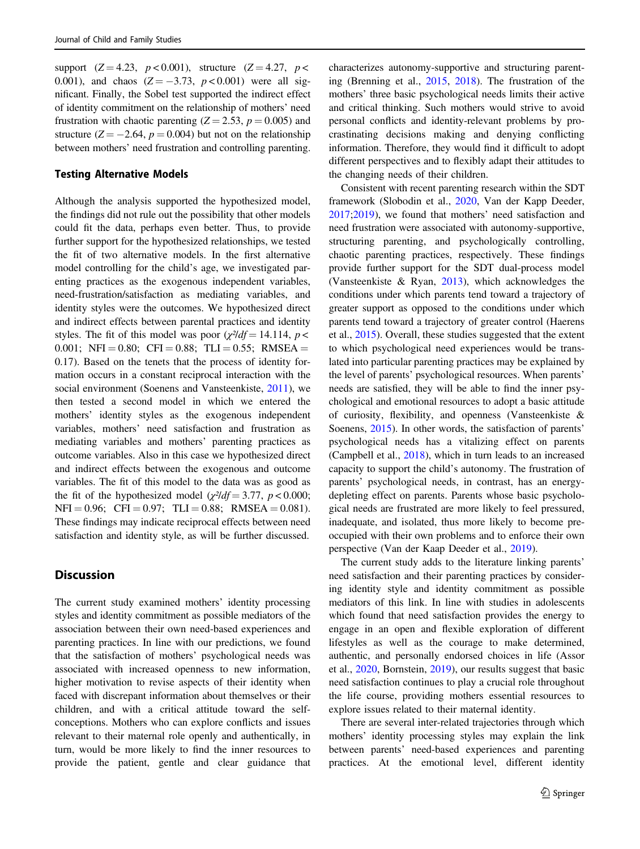support  $(Z = 4.23, p < 0.001)$ , structure  $(Z = 4.27, p <$ 0.001), and chaos  $(Z = -3.73, p < 0.001)$  were all significant. Finally, the Sobel test supported the indirect effect of identity commitment on the relationship of mothers' need frustration with chaotic parenting  $(Z = 2.53, p = 0.005)$  and structure ( $Z = -2.64$ ,  $p = 0.004$ ) but not on the relationship between mothers' need frustration and controlling parenting.

#### Testing Alternative Models

Although the analysis supported the hypothesized model, the findings did not rule out the possibility that other models could fit the data, perhaps even better. Thus, to provide further support for the hypothesized relationships, we tested the fit of two alternative models. In the first alternative model controlling for the child's age, we investigated parenting practices as the exogenous independent variables, need-frustration/satisfaction as mediating variables, and identity styles were the outcomes. We hypothesized direct and indirect effects between parental practices and identity styles. The fit of this model was poor ( $\chi^2/df = 14.114$ ,  $p <$ 0.001; NFI = 0.80; CFI = 0.88; TLI = 0.55; RMSEA = 0.17). Based on the tenets that the process of identity formation occurs in a constant reciprocal interaction with the social environment (Soenens and Vansteenkiste, [2011\)](#page-13-0), we then tested a second model in which we entered the mothers' identity styles as the exogenous independent variables, mothers' need satisfaction and frustration as mediating variables and mothers' parenting practices as outcome variables. Also in this case we hypothesized direct and indirect effects between the exogenous and outcome variables. The fit of this model to the data was as good as the fit of the hypothesized model ( $\chi^2/df = 3.77$ ,  $p < 0.000$ ;  $NFI = 0.96$ ;  $CFI = 0.97$ ;  $TLI = 0.88$ ;  $RMSEA = 0.081$ ). These findings may indicate reciprocal effects between need satisfaction and identity style, as will be further discussed.

# **Discussion**

The current study examined mothers' identity processing styles and identity commitment as possible mediators of the association between their own need-based experiences and parenting practices. In line with our predictions, we found that the satisfaction of mothers' psychological needs was associated with increased openness to new information, higher motivation to revise aspects of their identity when faced with discrepant information about themselves or their children, and with a critical attitude toward the selfconceptions. Mothers who can explore conflicts and issues relevant to their maternal role openly and authentically, in turn, would be more likely to find the inner resources to provide the patient, gentle and clear guidance that characterizes autonomy-supportive and structuring parenting (Brenning et al., [2015](#page-11-0), [2018\)](#page-11-0). The frustration of the mothers' three basic psychological needs limits their active and critical thinking. Such mothers would strive to avoid personal conflicts and identity-relevant problems by procrastinating decisions making and denying conflicting information. Therefore, they would find it difficult to adopt different perspectives and to flexibly adapt their attitudes to the changing needs of their children.

Consistent with recent parenting research within the SDT framework (Slobodin et al., [2020,](#page-13-0) Van der Kapp Deeder, [2017](#page-12-0);[2019\)](#page-12-0), we found that mothers' need satisfaction and need frustration were associated with autonomy-supportive, structuring parenting, and psychologically controlling, chaotic parenting practices, respectively. These findings provide further support for the SDT dual-process model (Vansteenkiste & Ryan, [2013](#page-14-0)), which acknowledges the conditions under which parents tend toward a trajectory of greater support as opposed to the conditions under which parents tend toward a trajectory of greater control (Haerens et al., [2015](#page-12-0)). Overall, these studies suggested that the extent to which psychological need experiences would be translated into particular parenting practices may be explained by the level of parents' psychological resources. When parents' needs are satisfied, they will be able to find the inner psychological and emotional resources to adopt a basic attitude of curiosity, flexibility, and openness (Vansteenkiste & Soenens, [2015\)](#page-14-0). In other words, the satisfaction of parents' psychological needs has a vitalizing effect on parents (Campbell et al., [2018\)](#page-11-0), which in turn leads to an increased capacity to support the child's autonomy. The frustration of parents' psychological needs, in contrast, has an energydepleting effect on parents. Parents whose basic psychological needs are frustrated are more likely to feel pressured, inadequate, and isolated, thus more likely to become preoccupied with their own problems and to enforce their own perspective (Van der Kaap Deeder et al., [2019](#page-12-0)).

The current study adds to the literature linking parents' need satisfaction and their parenting practices by considering identity style and identity commitment as possible mediators of this link. In line with studies in adolescents which found that need satisfaction provides the energy to engage in an open and flexible exploration of different lifestyles as well as the courage to make determined, authentic, and personally endorsed choices in life (Assor et al., [2020](#page-11-0), Bornstein, [2019](#page-11-0)), our results suggest that basic need satisfaction continues to play a crucial role throughout the life course, providing mothers essential resources to explore issues related to their maternal identity.

There are several inter-related trajectories through which mothers' identity processing styles may explain the link between parents' need-based experiences and parenting practices. At the emotional level, different identity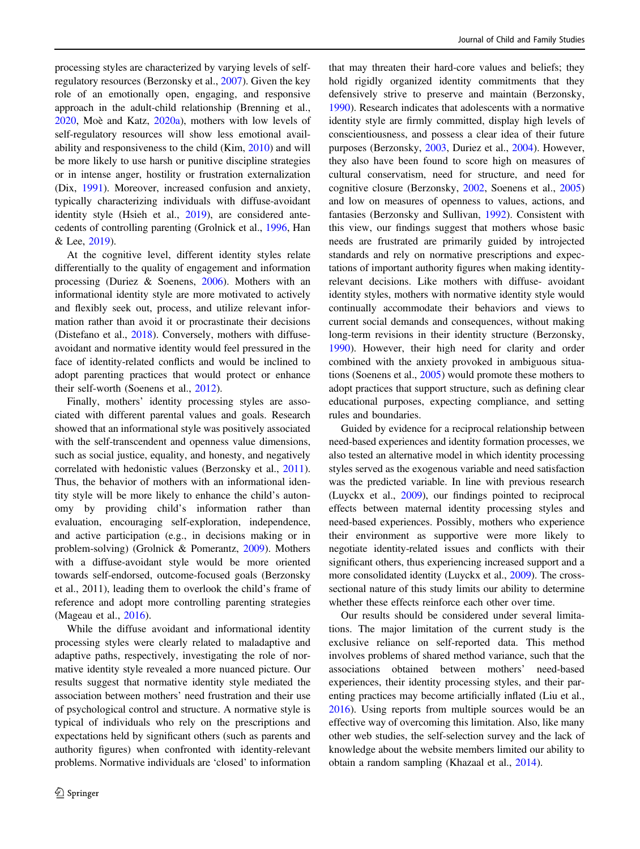processing styles are characterized by varying levels of selfregulatory resources (Berzonsky et al., [2007\)](#page-11-0). Given the key role of an emotionally open, engaging, and responsive approach in the adult-child relationship (Brenning et al., [2020,](#page-11-0) Moè and Katz, [2020a\)](#page-13-0), mothers with low levels of self-regulatory resources will show less emotional availability and responsiveness to the child (Kim, [2010](#page-12-0)) and will be more likely to use harsh or punitive discipline strategies or in intense anger, hostility or frustration externalization (Dix, [1991](#page-11-0)). Moreover, increased confusion and anxiety, typically characterizing individuals with diffuse-avoidant identity style (Hsieh et al., [2019\)](#page-12-0), are considered antecedents of controlling parenting (Grolnick et al., [1996](#page-12-0), Han & Lee, [2019\)](#page-12-0).

At the cognitive level, different identity styles relate differentially to the quality of engagement and information processing (Duriez & Soenens, [2006\)](#page-11-0). Mothers with an informational identity style are more motivated to actively and flexibly seek out, process, and utilize relevant information rather than avoid it or procrastinate their decisions (Distefano et al., [2018](#page-11-0)). Conversely, mothers with diffuseavoidant and normative identity would feel pressured in the face of identity-related conflicts and would be inclined to adopt parenting practices that would protect or enhance their self-worth (Soenens et al., [2012](#page-13-0)).

Finally, mothers' identity processing styles are associated with different parental values and goals. Research showed that an informational style was positively associated with the self-transcendent and openness value dimensions, such as social justice, equality, and honesty, and negatively correlated with hedonistic values (Berzonsky et al., [2011](#page-11-0)). Thus, the behavior of mothers with an informational identity style will be more likely to enhance the child's autonomy by providing child's information rather than evaluation, encouraging self-exploration, independence, and active participation (e.g., in decisions making or in problem-solving) (Grolnick & Pomerantz, [2009](#page-12-0)). Mothers with a diffuse-avoidant style would be more oriented towards self-endorsed, outcome-focused goals (Berzonsky et al., 2011), leading them to overlook the child's frame of reference and adopt more controlling parenting strategies (Mageau et al., [2016](#page-13-0)).

While the diffuse avoidant and informational identity processing styles were clearly related to maladaptive and adaptive paths, respectively, investigating the role of normative identity style revealed a more nuanced picture. Our results suggest that normative identity style mediated the association between mothers' need frustration and their use of psychological control and structure. A normative style is typical of individuals who rely on the prescriptions and expectations held by significant others (such as parents and authority figures) when confronted with identity-relevant problems. Normative individuals are 'closed' to information

that may threaten their hard-core values and beliefs; they hold rigidly organized identity commitments that they defensively strive to preserve and maintain (Berzonsky, [1990](#page-11-0)). Research indicates that adolescents with a normative identity style are firmly committed, display high levels of conscientiousness, and possess a clear idea of their future purposes (Berzonsky, [2003,](#page-11-0) Duriez et al., [2004\)](#page-11-0). However, they also have been found to score high on measures of cultural conservatism, need for structure, and need for cognitive closure (Berzonsky, [2002](#page-11-0), Soenens et al., [2005](#page-13-0)) and low on measures of openness to values, actions, and fantasies (Berzonsky and Sullivan, [1992](#page-11-0)). Consistent with this view, our findings suggest that mothers whose basic needs are frustrated are primarily guided by introjected standards and rely on normative prescriptions and expectations of important authority figures when making identityrelevant decisions. Like mothers with diffuse- avoidant identity styles, mothers with normative identity style would continually accommodate their behaviors and views to current social demands and consequences, without making long-term revisions in their identity structure (Berzonsky, [1990](#page-11-0)). However, their high need for clarity and order combined with the anxiety provoked in ambiguous situations (Soenens et al., [2005\)](#page-13-0) would promote these mothers to adopt practices that support structure, such as defining clear educational purposes, expecting compliance, and setting rules and boundaries.

Guided by evidence for a reciprocal relationship between need-based experiences and identity formation processes, we also tested an alternative model in which identity processing styles served as the exogenous variable and need satisfaction was the predicted variable. In line with previous research (Luyckx et al., [2009\)](#page-13-0), our findings pointed to reciprocal effects between maternal identity processing styles and need-based experiences. Possibly, mothers who experience their environment as supportive were more likely to negotiate identity-related issues and conflicts with their significant others, thus experiencing increased support and a more consolidated identity (Luyckx et al., [2009](#page-13-0)). The crosssectional nature of this study limits our ability to determine whether these effects reinforce each other over time.

Our results should be considered under several limitations. The major limitation of the current study is the exclusive reliance on self-reported data. This method involves problems of shared method variance, such that the associations obtained between mothers' need-based experiences, their identity processing styles, and their parenting practices may become artificially inflated (Liu et al., [2016](#page-12-0)). Using reports from multiple sources would be an effective way of overcoming this limitation. Also, like many other web studies, the self-selection survey and the lack of knowledge about the website members limited our ability to obtain a random sampling (Khazaal et al., [2014\)](#page-12-0).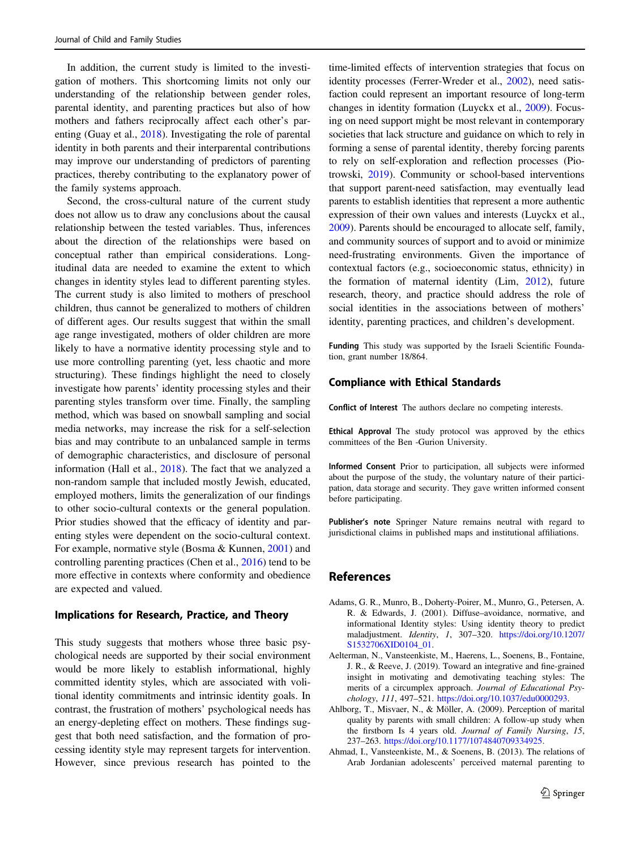<span id="page-10-0"></span>In addition, the current study is limited to the investigation of mothers. This shortcoming limits not only our understanding of the relationship between gender roles, parental identity, and parenting practices but also of how mothers and fathers reciprocally affect each other's parenting (Guay et al., [2018\)](#page-12-0). Investigating the role of parental identity in both parents and their interparental contributions may improve our understanding of predictors of parenting practices, thereby contributing to the explanatory power of the family systems approach.

Second, the cross-cultural nature of the current study does not allow us to draw any conclusions about the causal relationship between the tested variables. Thus, inferences about the direction of the relationships were based on conceptual rather than empirical considerations. Longitudinal data are needed to examine the extent to which changes in identity styles lead to different parenting styles. The current study is also limited to mothers of preschool children, thus cannot be generalized to mothers of children of different ages. Our results suggest that within the small age range investigated, mothers of older children are more likely to have a normative identity processing style and to use more controlling parenting (yet, less chaotic and more structuring). These findings highlight the need to closely investigate how parents' identity processing styles and their parenting styles transform over time. Finally, the sampling method, which was based on snowball sampling and social media networks, may increase the risk for a self-selection bias and may contribute to an unbalanced sample in terms of demographic characteristics, and disclosure of personal information (Hall et al., [2018](#page-12-0)). The fact that we analyzed a non-random sample that included mostly Jewish, educated, employed mothers, limits the generalization of our findings to other socio-cultural contexts or the general population. Prior studies showed that the efficacy of identity and parenting styles were dependent on the socio-cultural context. For example, normative style (Bosma & Kunnen, [2001](#page-11-0)) and controlling parenting practices (Chen et al., [2016\)](#page-11-0) tend to be more effective in contexts where conformity and obedience are expected and valued.

## Implications for Research, Practice, and Theory

This study suggests that mothers whose three basic psychological needs are supported by their social environment would be more likely to establish informational, highly committed identity styles, which are associated with volitional identity commitments and intrinsic identity goals. In contrast, the frustration of mothers' psychological needs has an energy-depleting effect on mothers. These findings suggest that both need satisfaction, and the formation of processing identity style may represent targets for intervention. However, since previous research has pointed to the

time-limited effects of intervention strategies that focus on identity processes (Ferrer-Wreder et al., [2002\)](#page-12-0), need satisfaction could represent an important resource of long-term changes in identity formation (Luyckx et al., [2009\)](#page-13-0). Focusing on need support might be most relevant in contemporary societies that lack structure and guidance on which to rely in forming a sense of parental identity, thereby forcing parents to rely on self-exploration and reflection processes (Piotrowski, [2019](#page-13-0)). Community or school-based interventions that support parent-need satisfaction, may eventually lead parents to establish identities that represent a more authentic expression of their own values and interests (Luyckx et al., [2009\)](#page-13-0). Parents should be encouraged to allocate self, family, and community sources of support and to avoid or minimize need-frustrating environments. Given the importance of contextual factors (e.g., socioeconomic status, ethnicity) in the formation of maternal identity (Lim, [2012\)](#page-12-0), future research, theory, and practice should address the role of social identities in the associations between of mothers' identity, parenting practices, and children's development.

Funding This study was supported by the Israeli Scientific Foundation, grant number 18/864.

#### Compliance with Ethical Standards

Conflict of Interest The authors declare no competing interests.

Ethical Approval The study protocol was approved by the ethics committees of the Ben -Gurion University.

Informed Consent Prior to participation, all subjects were informed about the purpose of the study, the voluntary nature of their participation, data storage and security. They gave written informed consent before participating.

Publisher's note Springer Nature remains neutral with regard to jurisdictional claims in published maps and institutional affiliations.

#### References

- Adams, G. R., Munro, B., Doherty-Poirer, M., Munro, G., Petersen, A. R. & Edwards, J. (2001). Diffuse–avoidance, normative, and informational Identity styles: Using identity theory to predict maladjustment. Identity, 1, 307–320. [https://doi.org/10.1207/](https://doi.org/10.1207/S1532706XID0104_01) [S1532706XID0104\\_01](https://doi.org/10.1207/S1532706XID0104_01).
- Aelterman, N., Vansteenkiste, M., Haerens, L., Soenens, B., Fontaine, J. R., & Reeve, J. (2019). Toward an integrative and fine-grained insight in motivating and demotivating teaching styles: The merits of a circumplex approach. Journal of Educational Psychology, 111, 497–521. <https://doi.org/10.1037/edu0000293>.
- Ahlborg, T., Misvaer, N., & Möller, A. (2009). Perception of marital quality by parents with small children: A follow-up study when the firstborn Is 4 years old. Journal of Family Nursing, 15, 237–263. [https://doi.org/10.1177/1074840709334925.](https://doi.org/10.1177/1074840709334925)
- Ahmad, I., Vansteenkiste, M., & Soenens, B. (2013). The relations of Arab Jordanian adolescents' perceived maternal parenting to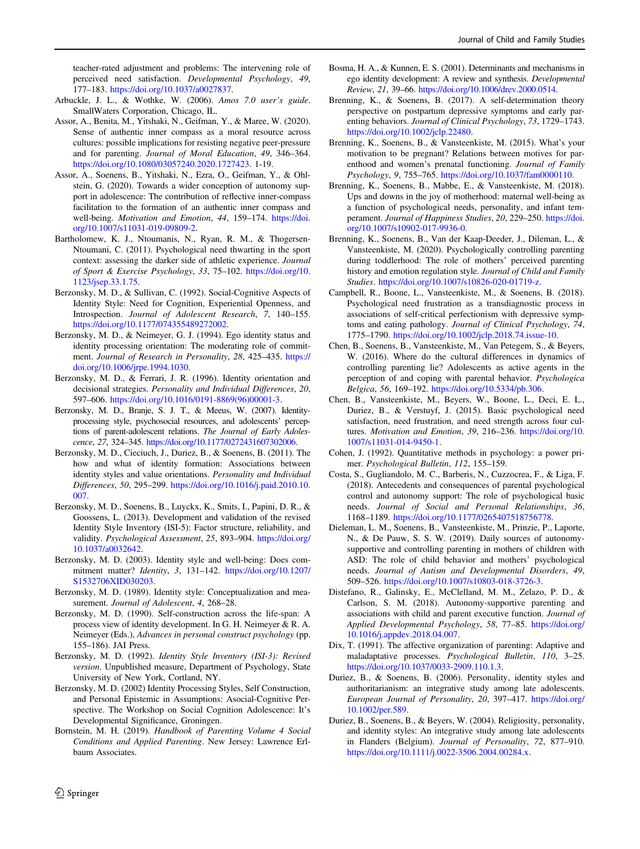<span id="page-11-0"></span>teacher-rated adjustment and problems: The intervening role of perceived need satisfaction. Developmental Psychology, 49, 177–183. <https://doi.org/10.1037/a0027837>.

- Arbuckle, J. L., & Wothke, W. (2006). Amos 7.0 user's guide. SmallWaters Corporation, Chicago, IL.
- Assor, A., Benita, M., Yitshaki, N., Geifman, Y., & Maree, W. (2020). Sense of authentic inner compass as a moral resource across cultures: possible implications for resisting negative peer-pressure and for parenting. Journal of Moral Education, 49, 346–364. <https://doi.org/10.1080/03057240.2020.1727423>. 1-19.
- Assor, A., Soenens, B., Yitshaki, N., Ezra, O., Geifman, Y., & Ohlstein, G. (2020). Towards a wider conception of autonomy support in adolescence: The contribution of reflective inner-compass facilitation to the formation of an authentic inner compass and well-being. Motivation and Emotion, 44, 159–174. [https://doi.](https://doi.org/10.1007/s11031-019-09809-2) [org/10.1007/s11031-019-09809-2](https://doi.org/10.1007/s11031-019-09809-2).
- Bartholomew, K. J., Ntoumanis, N., Ryan, R. M., & Thogersen-Ntoumani, C. (2011). Psychological need thwarting in the sport context: assessing the darker side of athletic experience. Journal of Sport & Exercise Psychology, 33, 75–102. [https://doi.org/10.](https://doi.org/10.1123/jsep.33.1.75) [1123/jsep.33.1.75](https://doi.org/10.1123/jsep.33.1.75).
- Berzonsky, M. D., & Sullivan, C. (1992). Social-Cognitive Aspects of Identity Style: Need for Cognition, Experiential Openness, and Introspection. Journal of Adolescent Research, 7, 140–155. [https://doi.org/10.1177/074355489272002.](https://doi.org/10.1177/074355489272002)
- Berzonsky, M. D., & Neimeyer, G. J. (1994). Ego identity status and identity processing orientation: The moderating role of commitment. Journal of Research in Personality, 28, 425–435. [https://](https://doi.org/10.1006/jrpe.1994.1030) [doi.org/10.1006/jrpe.1994.1030](https://doi.org/10.1006/jrpe.1994.1030).
- Berzonsky, M. D., & Ferrari, J. R. (1996). Identity orientation and decisional strategies. Personality and Individual Differences, 20, 597–606. [https://doi.org/10.1016/0191-8869\(96\)00001-3.](https://doi.org/10.1016/0191-8869(96)00001-3)
- Berzonsky, M. D., Branje, S. J. T., & Meeus, W. (2007). Identityprocessing style, psychosocial resources, and adolescents' perceptions of parent-adolescent relations. The Journal of Early Adolescence, 27, 324–345. <https://doi.org/10.1177/0272431607302006>.
- Berzonsky, M. D., Cieciuch, J., Duriez, B., & Soenens, B. (2011). The how and what of identity formation: Associations between identity styles and value orientations. Personality and Individual Differences, 50, 295–299. [https://doi.org/10.1016/j.paid.2010.10.](https://doi.org/10.1016/j.paid.2010.10.007) [007.](https://doi.org/10.1016/j.paid.2010.10.007)
- Berzonsky, M. D., Soenens, B., Luyckx, K., Smits, I., Papini, D. R., & Goossens, L. (2013). Development and validation of the revised Identity Style Inventory (ISI-5): Factor structure, reliability, and validity. Psychological Assessment, 25, 893–904. [https://doi.org/](https://doi.org/10.1037/a0032642) [10.1037/a0032642](https://doi.org/10.1037/a0032642).
- Berzonsky, M. D. (2003). Identity style and well-being: Does commitment matter? Identity, 3, 131–142. [https://doi.org/10.1207/](https://doi.org/10.1207/S1532706XID030203) [S1532706XID030203.](https://doi.org/10.1207/S1532706XID030203)
- Berzonsky, M. D. (1989). Identity style: Conceptualization and measurement. Journal of Adolescent, 4, 268–28.
- Berzonsky, M. D. (1990). Self-construction across the life-span: A process view of identity development. In G. H. Neimeyer & R. A. Neimeyer (Eds.), Advances in personal construct psychology (pp. 155–186). JAI Press.
- Berzonsky, M. D. (1992). Identity Style Inventory (ISI-3): Revised version. Unpublished measure, Department of Psychology, State University of New York, Cortland, NY.
- Berzonsky, M. D. (2002) Identity Processing Styles, Self Construction, and Personal Epistemic in Assumptions: Asocial-Cognitive Perspective. The Workshop on Social Cognition Adolescence: It's Developmental Significance, Groningen.
- Bornstein, M. H. (2019). Handbook of Parenting Volume 4 Social Conditions and Applied Parenting. New Jersey: Lawrence Erlbaum Associates.
- Bosma, H. A., & Kunnen, E. S. (2001). Determinants and mechanisms in ego identity development: A review and synthesis. Developmental Review, 21, 39–66. <https://doi.org/10.1006/drev.2000.0514>.
- Brenning, K., & Soenens, B. (2017). A self-determination theory perspective on postpartum depressive symptoms and early parenting behaviors. Journal of Clinical Psychology, 73, 1729–1743. <https://doi.org/10.1002/jclp.22480>.
- Brenning, K., Soenens, B., & Vansteenkiste, M. (2015). What's your motivation to be pregnant? Relations between motives for parenthood and women's prenatal functioning. Journal of Family Psychology, 9, 755–765. [https://doi.org/10.1037/fam0000110.](https://doi.org/10.1037/fam0000110)
- Brenning, K., Soenens, B., Mabbe, E., & Vansteenkiste, M. (2018). Ups and downs in the joy of motherhood: maternal well-being as a function of psychological needs, personality, and infant temperament. Journal of Happiness Studies, 20, 229–250. [https://doi.](https://doi.org/10.1007/s10902-017-9936-0) [org/10.1007/s10902-017-9936-0.](https://doi.org/10.1007/s10902-017-9936-0)
- Brenning, K., Soenens, B., Van der Kaap-Deeder, J., Dileman, L., & Vansteenkiste, M. (2020). Psychologically controlling parenting during toddlerhood: The role of mothers' perceived parenting history and emotion regulation style. Journal of Child and Family Studies. [https://doi.org/10.1007/s10826-020-01719-z.](https://doi.org/10.1007/s10826-020-01719-z)
- Campbell, R., Boone, L., Vansteenkiste, M., & Soenens, B. (2018). Psychological need frustration as a transdiagnostic process in associations of self-critical perfectionism with depressive symptoms and eating pathology. Journal of Clinical Psychology, 74, 1775–1790. [https://doi.org/10.1002/jclp.2018.74.issue-10.](https://doi.org/10.1002/jclp.2018.74.issue-10)
- Chen, B., Soenens, B., Vansteenkiste, M., Van Petegem, S., & Beyers, W. (2016). Where do the cultural differences in dynamics of controlling parenting lie? Adolescents as active agents in the perception of and coping with parental behavior. Psychologica Belgica, 56, 169–192. <https://doi.org/10.5334/pb.306>.
- Chen, B., Vansteenkiste, M., Beyers, W., Boone, L., Deci, E. L., Duriez, B., & Verstuyf, J. (2015). Basic psychological need satisfaction, need frustration, and need strength across four cultures. Motivation and Emotion, 39, 216-236. [https://doi.org/10.](https://doi.org/10.1007/s11031-014-9450-1) [1007/s11031-014-9450-1.](https://doi.org/10.1007/s11031-014-9450-1)
- Cohen, J. (1992). Quantitative methods in psychology: a power primer. Psychological Bulletin, 112, 155–159.
- Costa, S., Gugliandolo, M. C., Barberis, N., Cuzzocrea, F., & Liga, F. (2018). Antecedents and consequences of parental psychological control and autonomy support: The role of psychological basic needs. Journal of Social and Personal Relationships, 36, 1168–1189. <https://doi.org/10.1177/0265407518756778>.
- Dieleman, L. M., Soenens, B., Vansteenkiste, M., Prinzie, P., Laporte, N., & De Pauw, S. S. W. (2019). Daily sources of autonomysupportive and controlling parenting in mothers of children with ASD: The role of child behavior and mothers' psychological needs. Journal of Autism and Developmental Disorders, 49, 509–526. [https://doi.org/10.1007/s10803-018-3726-3.](https://doi.org/10.1007/s10803-018-3726-3)
- Distefano, R., Galinsky, E., McClelland, M. M., Zelazo, P. D., & Carlson, S. M. (2018). Autonomy-supportive parenting and associations with child and parent executive function. Journal of Applied Developmental Psychology, 58, 77–85. [https://doi.org/](https://doi.org/10.1016/j.appdev.2018.04.007) [10.1016/j.appdev.2018.04.007](https://doi.org/10.1016/j.appdev.2018.04.007).
- Dix, T. (1991). The affective organization of parenting: Adaptive and maladaptative processes. Psychological Bulletin, 110, 3–25. [https://doi.org/10.1037/0033-2909.110.1.3.](https://doi.org/10.1037/0033-2909.110.1.3)
- Duriez, B., & Soenens, B. (2006). Personality, identity styles and authoritarianism: an integrative study among late adolescents. European Journal of Personality, 20, 397–417. [https://doi.org/](https://doi.org/10.1002/per.589) [10.1002/per.589](https://doi.org/10.1002/per.589).
- Duriez, B., Soenens, B., & Beyers, W. (2004). Religiosity, personality, and identity styles: An integrative study among late adolescents in Flanders (Belgium). Journal of Personality, 72, 877–910. <https://doi.org/10.1111/j.0022-3506.2004.00284.x>.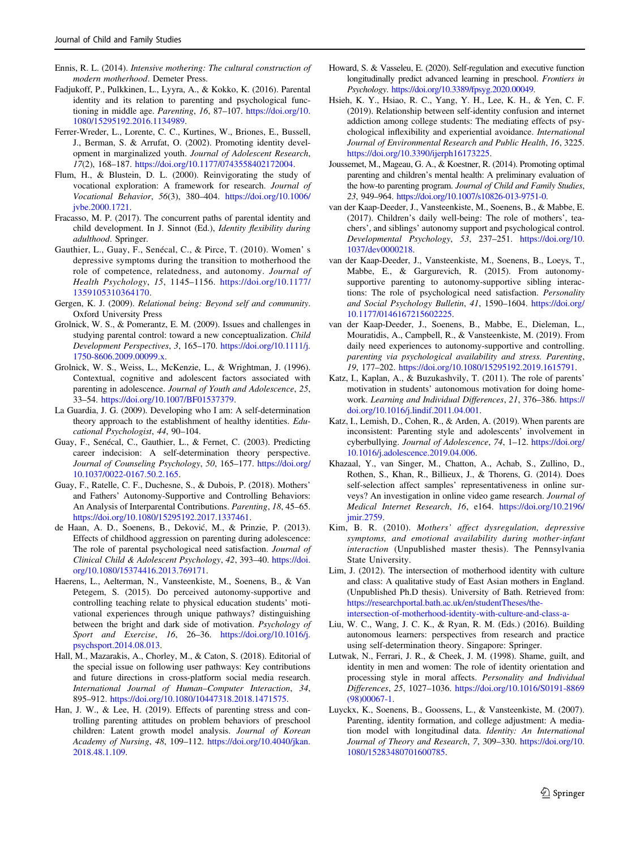- <span id="page-12-0"></span>Ennis, R. L. (2014). Intensive mothering: The cultural construction of modern motherhood. Demeter Press.
- Fadjukoff, P., Pulkkinen, L., Lyyra, A., & Kokko, K. (2016). Parental identity and its relation to parenting and psychological functioning in middle age. Parenting, 16, 87–107. [https://doi.org/10.](https://doi.org/10.1080/15295192.2016.1134989) [1080/15295192.2016.1134989.](https://doi.org/10.1080/15295192.2016.1134989)
- Ferrer-Wreder, L., Lorente, C. C., Kurtines, W., Briones, E., Bussell, J., Berman, S. & Arrufat, O. (2002). Promoting identity development in marginalized youth. Journal of Adolescent Research, 17(2), 168–187. [https://doi.org/10.1177/0743558402172004.](https://doi.org/10.1177/0743558402172004)
- Flum, H., & Blustein, D. L. (2000). Reinvigorating the study of vocational exploration: A framework for research. Journal of Vocational Behavior, 56(3), 380–404. [https://doi.org/10.1006/](https://doi.org/10.1006/jvbe.2000.1721) [jvbe.2000.1721.](https://doi.org/10.1006/jvbe.2000.1721)
- Fracasso, M. P. (2017). The concurrent paths of parental identity and child development. In J. Sinnot (Ed.), Identity flexibility during adulthood. Springer.
- Gauthier, L., Guay, F., Senécal, C., & Pirce, T. (2010). Women' s depressive symptoms during the transition to motherhood the role of competence, relatedness, and autonomy. Journal of Health Psychology, 15, 1145–1156. [https://doi.org/10.1177/](https://doi.org/10.1177/1359105310364170) [1359105310364170](https://doi.org/10.1177/1359105310364170).
- Gergen, K. J. (2009). Relational being: Beyond self and community. Oxford University Press
- Grolnick, W. S., & Pomerantz, E. M. (2009). Issues and challenges in studying parental control: toward a new conceptualization. Child Development Perspectives, 3, 165–170. [https://doi.org/10.1111/j.](https://doi.org/10.1111/j.1750-8606.2009.00099.x) [1750-8606.2009.00099.x](https://doi.org/10.1111/j.1750-8606.2009.00099.x).
- Grolnick, W. S., Weiss, L., McKenzie, L., & Wrightman, J. (1996). Contextual, cognitive and adolescent factors associated with parenting in adolescence. Journal of Youth and Adolescence, 25, 33–54. [https://doi.org/10.1007/BF01537379.](https://doi.org/10.1007/BF01537379)
- La Guardia, J. G. (2009). Developing who I am: A self-determination theory approach to the establishment of healthy identities. Educational Psychologist, 44, 90–104.
- Guay, F., Senécal, C., Gauthier, L., & Fernet, C. (2003). Predicting career indecision: A self-determination theory perspective. Journal of Counseling Psychology, 50, 165–177. [https://doi.org/](https://doi.org/10.1037/0022-0167.50.2.165) [10.1037/0022-0167.50.2.165](https://doi.org/10.1037/0022-0167.50.2.165).
- Guay, F., Ratelle, C. F., Duchesne, S., & Dubois, P. (2018). Mothers' and Fathers' Autonomy-Supportive and Controlling Behaviors: An Analysis of Interparental Contributions. Parenting, 18, 45–65. <https://doi.org/10.1080/15295192.2017.1337461>.
- de Haan, A. D., Soenens, B., Deković, M., & Prinzie, P. (2013). Effects of childhood aggression on parenting during adolescence: The role of parental psychological need satisfaction. Journal of Clinical Child & Adolescent Psychology, 42, 393–40. [https://doi.](https://doi.org/10.1080/15374416.2013.769171) [org/10.1080/15374416.2013.769171.](https://doi.org/10.1080/15374416.2013.769171)
- Haerens, L., Aelterman, N., Vansteenkiste, M., Soenens, B., & Van Petegem, S. (2015). Do perceived autonomy-supportive and controlling teaching relate to physical education students' motivational experiences through unique pathways? distinguishing between the bright and dark side of motivation. Psychology of Sport and Exercise, 16, 26–36. [https://doi.org/10.1016/j.](https://doi.org/10.1016/j.psychsport.2014.08.013) [psychsport.2014.08.013.](https://doi.org/10.1016/j.psychsport.2014.08.013)
- Hall, M., Mazarakis, A., Chorley, M., & Caton, S. (2018). Editorial of the special issue on following user pathways: Key contributions and future directions in cross-platform social media research. International Journal of Human–Computer Interaction, 34, 895–912. [https://doi.org/10.1080/10447318.2018.1471575.](https://doi.org/10.1080/10447318.2018.1471575)
- Han, J. W., & Lee, H. (2019). Effects of parenting stress and controlling parenting attitudes on problem behaviors of preschool children: Latent growth model analysis. Journal of Korean Academy of Nursing, 48, 109–112. [https://doi.org/10.4040/jkan.](https://doi.org/10.4040/jkan.2018.48.1.109) [2018.48.1.109.](https://doi.org/10.4040/jkan.2018.48.1.109)
- Howard, S. & Vasseleu, E. (2020). Self-regulation and executive function longitudinally predict advanced learning in preschool. Frontiers in Psychology. [https://doi.org/10.3389/fpsyg.2020.00049.](https://doi.org/10.3389/fpsyg.2020.00049)
- Hsieh, K. Y., Hsiao, R. C., Yang, Y. H., Lee, K. H., & Yen, C. F. (2019). Relationship between self-identity confusion and internet addiction among college students: The mediating effects of psychological inflexibility and experiential avoidance. International Journal of Environmental Research and Public Health, 16, 3225. [https://doi.org/10.3390/ijerph16173225.](https://doi.org/10.3390/ijerph16173225)
- Joussemet, M., Mageau, G. A., & Koestner, R. (2014). Promoting optimal parenting and children's mental health: A preliminary evaluation of the how-to parenting program. Journal of Child and Family Studies, 23, 949–964. <https://doi.org/10.1007/s10826-013-9751-0>.
- van der Kaap-Deeder, J., Vansteenkiste, M., Soenens, B., & Mabbe, E. (2017). Children's daily well-being: The role of mothers', teachers', and siblings' autonomy support and psychological control. Developmental Psychology, 53, 237–251. [https://doi.org/10.](https://doi.org/10.1037/dev0000218) [1037/dev0000218](https://doi.org/10.1037/dev0000218).
- van der Kaap-Deeder, J., Vansteenkiste, M., Soenens, B., Loeys, T., Mabbe, E., & Gargurevich, R. (2015). From autonomysupportive parenting to autonomy-supportive sibling interactions: The role of psychological need satisfaction. Personality and Social Psychology Bulletin, 41, 1590–1604. [https://doi.org/](https://doi.org/10.1177/0146167215602225) [10.1177/0146167215602225.](https://doi.org/10.1177/0146167215602225)
- van der Kaap-Deeder, J., Soenens, B., Mabbe, E., Dieleman, L., Mouratidis, A., Campbell, R., & Vansteenkiste, M. (2019). From daily need experiences to autonomy-supportive and controlling. parenting via psychological availability and stress. Parenting, 19, 177–202. <https://doi.org/10.1080/15295192.2019.1615791>.
- Katz, I., Kaplan, A., & Buzukashvily, T. (2011). The role of parents' motivation in students' autonomous motivation for doing homework. Learning and Individual Differences, 21, 376–386. [https://](https://doi.org/10.1016/j.lindif.2011.04.001) [doi.org/10.1016/j.lindif.2011.04.001](https://doi.org/10.1016/j.lindif.2011.04.001).
- Katz, I., Lemish, D., Cohen, R., & Arden, A. (2019). When parents are inconsistent: Parenting style and adolescents' involvement in cyberbullying. Journal of Adolescence, 74, 1–12. [https://doi.org/](https://doi.org/10.1016/j.adolescence.2019.04.006) [10.1016/j.adolescence.2019.04.006](https://doi.org/10.1016/j.adolescence.2019.04.006).
- Khazaal, Y., van Singer, M., Chatton, A., Achab, S., Zullino, D., Rothen, S., Khan, R., Billieux, J., & Thorens, G. (2014). Does self-selection affect samples' representativeness in online surveys? An investigation in online video game research. Journal of Medical Internet Research, 16, e164. [https://doi.org/10.2196/](https://doi.org/10.2196/jmir.2759) [jmir.2759](https://doi.org/10.2196/jmir.2759).
- Kim, B. R. (2010). Mothers' affect dysregulation, depressive symptoms, and emotional availability during mother-infant interaction (Unpublished master thesis). The Pennsylvania State University.
- Lim, J. (2012). The intersection of motherhood identity with culture and class: A qualitative study of East Asian mothers in England. (Unpublished Ph.D thesis). University of Bath. Retrieved from: [https://researchportal.bath.ac.uk/en/studentTheses/the](https://researchportal.bath.ac.uk/en/studentTheses/the-intersection-of-motherhood-identity-with-culture-and-class-a-)[intersection-of-motherhood-identity-with-culture-and-class-a-](https://researchportal.bath.ac.uk/en/studentTheses/the-intersection-of-motherhood-identity-with-culture-and-class-a-)
- Liu, W. C., Wang, J. C. K., & Ryan, R. M. (Eds.) (2016). Building autonomous learners: perspectives from research and practice using self-determination theory. Singapore: Springer.
- Lutwak, N., Ferrari, J. R., & Cheek, J. M. (1998). Shame, guilt, and identity in men and women: The role of identity orientation and processing style in moral affects. Personality and Individual Differences, 25, 1027–1036. [https://doi.org/10.1016/S0191-8869](https://doi.org/10.1016/S0191-8869(98)00067-1) [\(98\)00067-1](https://doi.org/10.1016/S0191-8869(98)00067-1).
- Luyckx, K., Soenens, B., Goossens, L., & Vansteenkiste, M. (2007). Parenting, identity formation, and college adjustment: A mediation model with longitudinal data. Identity: An International Journal of Theory and Research, 7, 309-330. [https://doi.org/10.](https://doi.org/10.1080/15283480701600785) [1080/15283480701600785](https://doi.org/10.1080/15283480701600785).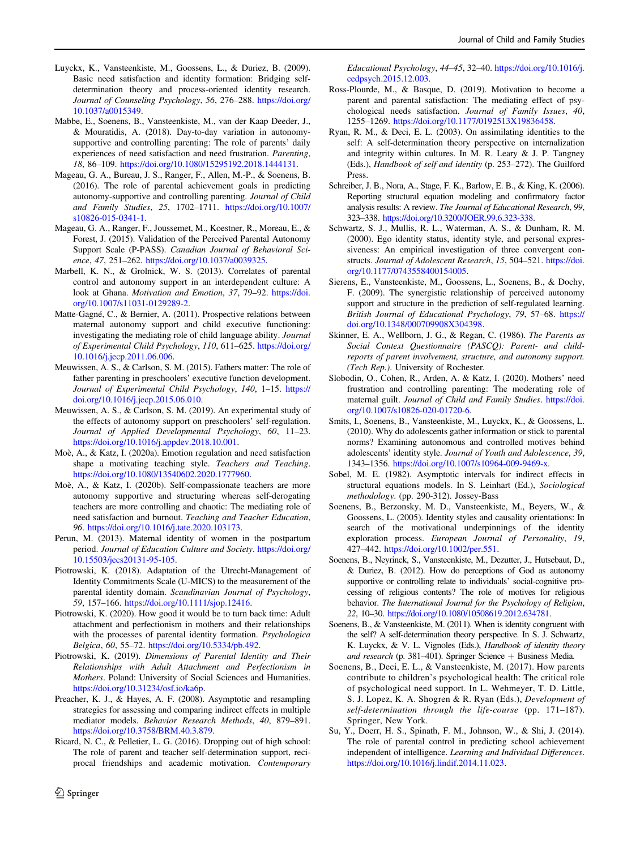- <span id="page-13-0"></span>Luyckx, K., Vansteenkiste, M., Goossens, L., & Duriez, B. (2009). Basic need satisfaction and identity formation: Bridging selfdetermination theory and process-oriented identity research. Journal of Counseling Psychology, 56, 276–288. [https://doi.org/](https://doi.org/10.1037/a0015349) [10.1037/a0015349](https://doi.org/10.1037/a0015349).
- Mabbe, E., Soenens, B., Vansteenkiste, M., van der Kaap Deeder, J., & Mouratidis, A. (2018). Day-to-day variation in autonomysupportive and controlling parenting: The role of parents' daily experiences of need satisfaction and need frustration. Parenting, 18, 86–109. [https://doi.org/10.1080/15295192.2018.1444131.](https://doi.org/10.1080/15295192.2018.1444131)
- Mageau, G. A., Bureau, J. S., Ranger, F., Allen, M.-P., & Soenens, B. (2016). The role of parental achievement goals in predicting autonomy-supportive and controlling parenting. Journal of Child and Family Studies, 25, 1702–1711. [https://doi.org/10.1007/](https://doi.org/10.1007/s10826-015-0341-1) [s10826-015-0341-1.](https://doi.org/10.1007/s10826-015-0341-1)
- Mageau, G. A., Ranger, F., Joussemet, M., Koestner, R., Moreau, E., & Forest, J. (2015). Validation of the Perceived Parental Autonomy Support Scale (P-PASS). Canadian Journal of Behavioral Science, 47, 251–262. <https://doi.org/10.1037/a0039325>.
- Marbell, K. N., & Grolnick, W. S. (2013). Correlates of parental control and autonomy support in an interdependent culture: A look at Ghana. Motivation and Emotion, 37, 79–92. [https://doi.](https://doi.org/10.1007/s11031-0129289-2) [org/10.1007/s11031-0129289-2](https://doi.org/10.1007/s11031-0129289-2).
- Matte-Gagné, C., & Bernier, A. (2011). Prospective relations between maternal autonomy support and child executive functioning: investigating the mediating role of child language ability. Journal of Experimental Child Psychology, 110, 611–625. [https://doi.org/](https://doi.org/10.1016/j.jecp.2011.06.006) [10.1016/j.jecp.2011.06.006.](https://doi.org/10.1016/j.jecp.2011.06.006)
- Meuwissen, A. S., & Carlson, S. M. (2015). Fathers matter: The role of father parenting in preschoolers' executive function development. Journal of Experimental Child Psychology, 140, 1–15. [https://](https://doi.org/10.1016/j.jecp.2015.06.010) [doi.org/10.1016/j.jecp.2015.06.010](https://doi.org/10.1016/j.jecp.2015.06.010).
- Meuwissen, A. S., & Carlson, S. M. (2019). An experimental study of the effects of autonomy support on preschoolers' self-regulation. Journal of Applied Developmental Psychology, 60, 11–23. [https://doi.org/10.1016/j.appdev.2018.10.001.](https://doi.org/10.1016/j.appdev.2018.10.001)
- Moè, A., & Katz, I. (2020a). Emotion regulation and need satisfaction shape a motivating teaching style. Teachers and Teaching. <https://doi.org/10.1080/13540602.2020.1777960>.
- Moè, A., & Katz, I. (2020b). Self-compassionate teachers are more autonomy supportive and structuring whereas self-derogating teachers are more controlling and chaotic: The mediating role of need satisfaction and burnout. Teaching and Teacher Education, 96. [https://doi.org/10.1016/j.tate.2020.103173.](https://doi.org/10.1016/j.tate.2020.103173)
- Perun, M. (2013). Maternal identity of women in the postpartum period. Journal of Education Culture and Society. [https://doi.org/](https://doi.org/10.15503/jecs20131-95-105) [10.15503/jecs20131-95-105.](https://doi.org/10.15503/jecs20131-95-105)
- Piotrowski, K. (2018). Adaptation of the Utrecht-Management of Identity Commitments Scale (U-MICS) to the measurement of the parental identity domain. Scandinavian Journal of Psychology, 59, 157–166. [https://doi.org/10.1111/sjop.12416.](https://doi.org/10.1111/sjop.12416)
- Piotrowski, K. (2020). How good it would be to turn back time: Adult attachment and perfectionism in mothers and their relationships with the processes of parental identity formation. Psychologica Belgica, 60, 55–72. [https://doi.org/10.5334/pb.492.](https://doi.org/10.5334/pb.492)
- Piotrowski, K. (2019). Dimensions of Parental Identity and Their Relationships with Adult Attachment and Perfectionism in Mothers. Poland: University of Social Sciences and Humanities. <https://doi.org/10.31234/osf.io/ka6p>.
- Preacher, K. J., & Hayes, A. F. (2008). Asymptotic and resampling strategies for assessing and comparing indirect effects in multiple mediator models. Behavior Research Methods, 40, 879–891. [https://doi.org/10.3758/BRM.40.3.879.](https://doi.org/10.3758/BRM.40.3.879)
- Ricard, N. C., & Pelletier, L. G. (2016). Dropping out of high school: The role of parent and teacher self-determination support, reciprocal friendships and academic motivation. Contemporary

Educational Psychology, 44–45, 32–40. [https://doi.org/10.1016/j.](https://doi.org/10.1016/j.cedpsych.2015.12.003) [cedpsych.2015.12.003.](https://doi.org/10.1016/j.cedpsych.2015.12.003)

- Ross-Plourde, M., & Basque, D. (2019). Motivation to become a parent and parental satisfaction: The mediating effect of psychological needs satisfaction. Journal of Family Issues, 40, 1255–1269. <https://doi.org/10.1177/0192513X19836458>.
- Ryan, R. M., & Deci, E. L. (2003). On assimilating identities to the self: A self-determination theory perspective on internalization and integrity within cultures. In M. R. Leary & J. P. Tangney (Eds.), Handbook of self and identity (p. 253–272). The Guilford Press.
- Schreiber, J. B., Nora, A., Stage, F. K., Barlow, E. B., & King, K. (2006). Reporting structural equation modeling and confirmatory factor analysis results: A review. The Journal of Educational Research, 99, 323–338. <https://doi.org/10.3200/JOER.99.6.323-338>.
- Schwartz, S. J., Mullis, R. L., Waterman, A. S., & Dunham, R. M. (2000). Ego identity status, identity style, and personal expressiveness: An empirical investigation of three convergent constructs. Journal of Adolescent Research, 15, 504–521. [https://doi.](https://doi.org/10.1177/0743558400154005) [org/10.1177/0743558400154005](https://doi.org/10.1177/0743558400154005).
- Sierens, E., Vansteenkiste, M., Goossens, L., Soenens, B., & Dochy, F. (2009). The synergistic relationship of perceived autonomy support and structure in the prediction of self-regulated learning. British Journal of Educational Psychology, 79, 57–68. [https://](https://doi.org/10.1348/000709908X304398) [doi.org/10.1348/000709908X304398.](https://doi.org/10.1348/000709908X304398)
- Skinner, E. A., Wellborn, J. G., & Regan, C. (1986). The Parents as Social Context Questionnaire (PASCQ): Parent- and childreports of parent involvement, structure, and autonomy support. (Tech Rep.). University of Rochester.
- Slobodin, O., Cohen, R., Arden, A. & Katz, I. (2020). Mothers' need frustration and controlling parenting: The moderating role of maternal guilt. Journal of Child and Family Studies. [https://doi.](https://doi.org/10.1007/s10826-020-01720-6) [org/10.1007/s10826-020-01720-6](https://doi.org/10.1007/s10826-020-01720-6).
- Smits, I., Soenens, B., Vansteenkiste, M., Luyckx, K., & Goossens, L. (2010). Why do adolescents gather information or stick to parental norms? Examining autonomous and controlled motives behind adolescents' identity style. Journal of Youth and Adolescence, 39, 1343–1356. [https://doi.org/10.1007/s10964-009-9469-x.](https://doi.org/10.1007/s10964-009-9469-x)
- Sobel, M. E. (1982). Asymptotic intervals for indirect effects in structural equations models. In S. Leinhart (Ed.), Sociological methodology. (pp. 290-312). Jossey-Bass
- Soenens, B., Berzonsky, M. D., Vansteenkiste, M., Beyers, W., & Goossens, L. (2005). Identity styles and causality orientations: In search of the motivational underpinnings of the identity exploration process. European Journal of Personality, 19, 427–442. [https://doi.org/10.1002/per.551.](https://doi.org/10.1002/per.551)
- Soenens, B., Neyrinck, S., Vansteenkiste, M., Dezutter, J., Hutsebaut, D., & Duriez, B. (2012). How do perceptions of God as autonomy supportive or controlling relate to individuals' social-cognitive processing of religious contents? The role of motives for religious behavior. The International Journal for the Psychology of Religion, 22, 10–30. <https://doi.org/10.1080/10508619.2012.634781>.
- Soenens, B., & Vansteenkiste, M. (2011). When is identity congruent with the self? A self-determination theory perspective. In S. J. Schwartz, K. Luyckx, & V. L. Vignoles (Eds.), Handbook of identity theory and research (p. 381-401). Springer Science + Business Media.
- Soenens, B., Deci, E. L., & Vansteenkiste, M. (2017). How parents contribute to children's psychological health: The critical role of psychological need support. In L. Wehmeyer, T. D. Little, S. J. Lopez, K. A. Shogren & R. Ryan (Eds.), Development of self-determination through the life-course (pp. 171–187). Springer, New York.
- Su, Y., Doerr, H. S., Spinath, F. M., Johnson, W., & Shi, J. (2014). The role of parental control in predicting school achievement independent of intelligence. Learning and Individual Differences. [https://doi.org/10.1016/j.lindif.2014.11.023.](https://doi.org/10.1016/j.lindif.2014.11.023)